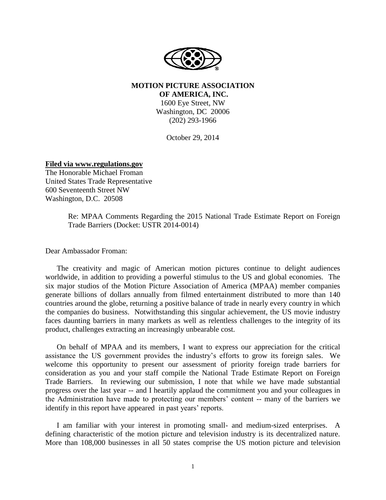

**MOTION PICTURE ASSOCIATION OF AMERICA, INC.**

1600 Eye Street, NW Washington, DC 20006 (202) 293-1966

October 29, 2014

**Filed via www.regulations.gov**

The Honorable Michael Froman United States Trade Representative 600 Seventeenth Street NW Washington, D.C. 20508

> Re: MPAA Comments Regarding the 2015 National Trade Estimate Report on Foreign Trade Barriers (Docket: USTR 2014-0014)

Dear Ambassador Froman:

The creativity and magic of American motion pictures continue to delight audiences worldwide, in addition to providing a powerful stimulus to the US and global economies. The six major studios of the Motion Picture Association of America (MPAA) member companies generate billions of dollars annually from filmed entertainment distributed to more than 140 countries around the globe, returning a positive balance of trade in nearly every country in which the companies do business. Notwithstanding this singular achievement, the US movie industry faces daunting barriers in many markets as well as relentless challenges to the integrity of its product, challenges extracting an increasingly unbearable cost.

On behalf of MPAA and its members, I want to express our appreciation for the critical assistance the US government provides the industry's efforts to grow its foreign sales. We welcome this opportunity to present our assessment of priority foreign trade barriers for consideration as you and your staff compile the National Trade Estimate Report on Foreign Trade Barriers. In reviewing our submission, I note that while we have made substantial progress over the last year -- and I heartily applaud the commitment you and your colleagues in the Administration have made to protecting our members' content -- many of the barriers we identify in this report have appeared in past years' reports.

I am familiar with your interest in promoting small- and medium-sized enterprises. A defining characteristic of the motion picture and television industry is its decentralized nature. More than 108,000 businesses in all 50 states comprise the US motion picture and television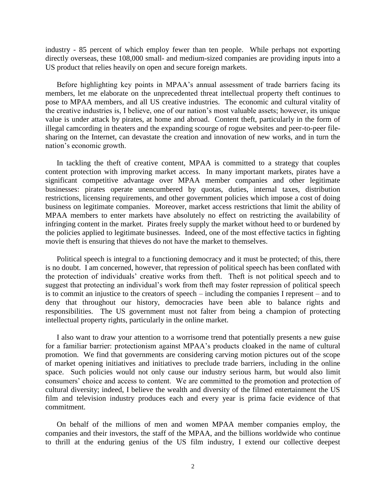industry - 85 percent of which employ fewer than ten people. While perhaps not exporting directly overseas, these 108,000 small- and medium-sized companies are providing inputs into a US product that relies heavily on open and secure foreign markets.

Before highlighting key points in MPAA's annual assessment of trade barriers facing its members, let me elaborate on the unprecedented threat intellectual property theft continues to pose to MPAA members, and all US creative industries. The economic and cultural vitality of the creative industries is, I believe, one of our nation's most valuable assets; however, its unique value is under attack by pirates, at home and abroad. Content theft, particularly in the form of illegal camcording in theaters and the expanding scourge of rogue websites and peer-to-peer filesharing on the Internet, can devastate the creation and innovation of new works, and in turn the nation's economic growth.

In tackling the theft of creative content, MPAA is committed to a strategy that couples content protection with improving market access. In many important markets, pirates have a significant competitive advantage over MPAA member companies and other legitimate businesses: pirates operate unencumbered by quotas, duties, internal taxes, distribution restrictions, licensing requirements, and other government policies which impose a cost of doing business on legitimate companies. Moreover, market access restrictions that limit the ability of MPAA members to enter markets have absolutely no effect on restricting the availability of infringing content in the market. Pirates freely supply the market without heed to or burdened by the policies applied to legitimate businesses. Indeed, one of the most effective tactics in fighting movie theft is ensuring that thieves do not have the market to themselves.

Political speech is integral to a functioning democracy and it must be protected; of this, there is no doubt. I am concerned, however, that repression of political speech has been conflated with the protection of individuals' creative works from theft. Theft is not political speech and to suggest that protecting an individual's work from theft may foster repression of political speech is to commit an injustice to the creators of speech – including the companies I represent – and to deny that throughout our history, democracies have been able to balance rights and responsibilities. The US government must not falter from being a champion of protecting intellectual property rights, particularly in the online market.

I also want to draw your attention to a worrisome trend that potentially presents a new guise for a familiar barrier: protectionism against MPAA's products cloaked in the name of cultural promotion. We find that governments are considering carving motion pictures out of the scope of market opening initiatives and initiatives to preclude trade barriers, including in the online space. Such policies would not only cause our industry serious harm, but would also limit consumers' choice and access to content. We are committed to the promotion and protection of cultural diversity; indeed, I believe the wealth and diversity of the filmed entertainment the US film and television industry produces each and every year is prima facie evidence of that commitment.

On behalf of the millions of men and women MPAA member companies employ, the companies and their investors, the staff of the MPAA, and the billions worldwide who continue to thrill at the enduring genius of the US film industry, I extend our collective deepest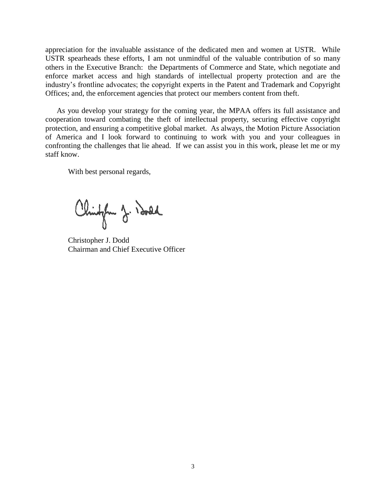appreciation for the invaluable assistance of the dedicated men and women at USTR. While USTR spearheads these efforts, I am not unmindful of the valuable contribution of so many others in the Executive Branch: the Departments of Commerce and State, which negotiate and enforce market access and high standards of intellectual property protection and are the industry's frontline advocates; the copyright experts in the Patent and Trademark and Copyright Offices; and, the enforcement agencies that protect our members content from theft.

As you develop your strategy for the coming year, the MPAA offers its full assistance and cooperation toward combating the theft of intellectual property, securing effective copyright protection, and ensuring a competitive global market. As always, the Motion Picture Association of America and I look forward to continuing to work with you and your colleagues in confronting the challenges that lie ahead. If we can assist you in this work, please let me or my staff know.

With best personal regards,

Chingham J. Isold

Christopher J. Dodd Chairman and Chief Executive Officer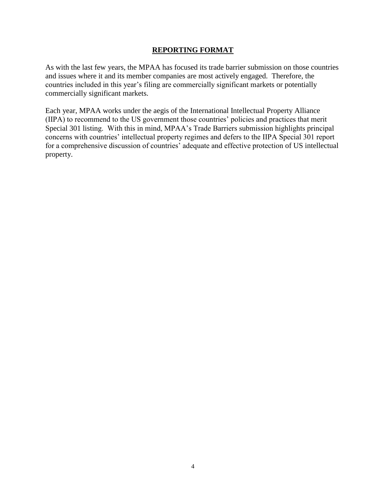#### **REPORTING FORMAT**

As with the last few years, the MPAA has focused its trade barrier submission on those countries and issues where it and its member companies are most actively engaged. Therefore, the countries included in this year's filing are commercially significant markets or potentially commercially significant markets.

Each year, MPAA works under the aegis of the International Intellectual Property Alliance (IIPA) to recommend to the US government those countries' policies and practices that merit Special 301 listing. With this in mind, MPAA's Trade Barriers submission highlights principal concerns with countries' intellectual property regimes and defers to the IIPA Special 301 report for a comprehensive discussion of countries' adequate and effective protection of US intellectual property.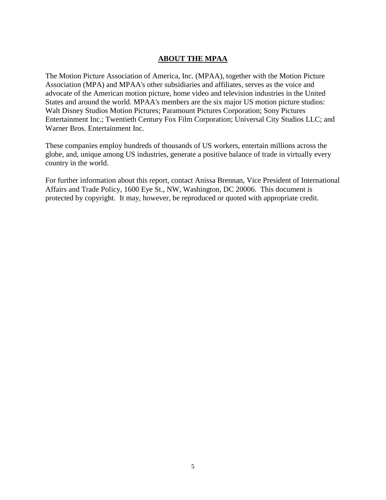#### **ABOUT THE MPAA**

The Motion Picture Association of America, Inc. (MPAA), together with the Motion Picture Association (MPA) and MPAA's other subsidiaries and affiliates, serves as the voice and advocate of the American motion picture, home video and television industries in the United States and around the world. MPAA's members are the six major US motion picture studios: Walt Disney Studios Motion Pictures; Paramount Pictures Corporation; Sony Pictures Entertainment Inc.; Twentieth Century Fox Film Corporation; Universal City Studios LLC; and Warner Bros. Entertainment Inc.

These companies employ hundreds of thousands of US workers, entertain millions across the globe, and, unique among US industries, generate a positive balance of trade in virtually every country in the world.

For further information about this report, contact Anissa Brennan, Vice President of International Affairs and Trade Policy, 1600 Eye St., NW, Washington, DC 20006. This document is protected by copyright. It may, however, be reproduced or quoted with appropriate credit.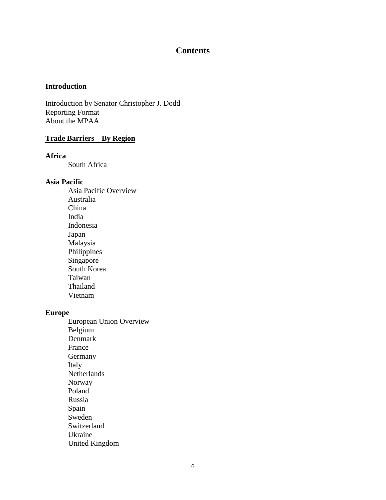## **Contents**

#### **Introduction**

Introduction by Senator Christopher J. Dodd Reporting Format About the MPAA

### **Trade Barriers – By Region**

#### **Africa**

South Africa

#### **Asia Pacific**

Asia Pacific Overview Australia China India Indonesia Japan Malaysia Philippines Singapore South Korea Taiwan Thailand Vietnam

#### **Europe**

European Union Overview Belgium Denmark France Germany Italy **Netherlands** Norway Poland Russia Spain Sweden Switzerland Ukraine United Kingdom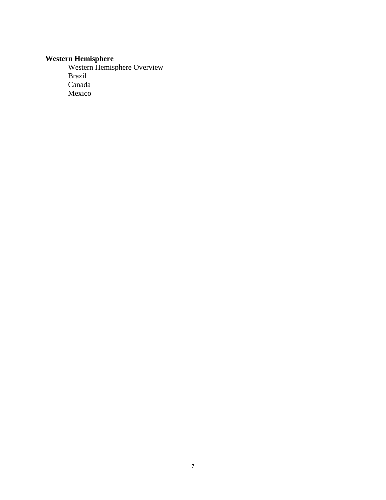#### **Western Hemisphere**

Western Hemisphere Overview Brazil Canada Mexico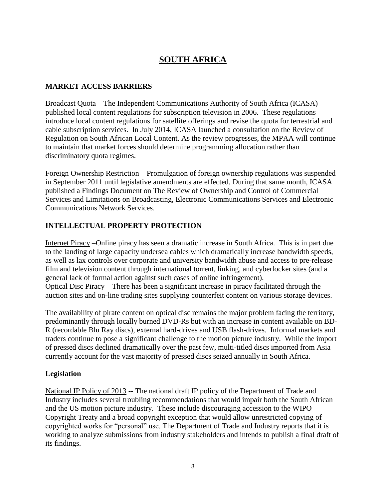# **SOUTH AFRICA**

### **MARKET ACCESS BARRIERS**

Broadcast Quota – The Independent Communications Authority of South Africa (ICASA) published local content regulations for subscription television in 2006. These regulations introduce local content regulations for satellite offerings and revise the quota for terrestrial and cable subscription services. In July 2014, ICASA launched a consultation on the Review of Regulation on South African Local Content. As the review progresses, the MPAA will continue to maintain that market forces should determine programming allocation rather than discriminatory quota regimes.

Foreign Ownership Restriction – Promulgation of foreign ownership regulations was suspended in September 2011 until legislative amendments are effected. During that same month, ICASA published a Findings Document on The Review of Ownership and Control of Commercial Services and Limitations on Broadcasting, Electronic Communications Services and Electronic Communications Network Services.

### **INTELLECTUAL PROPERTY PROTECTION**

Internet Piracy –Online piracy has seen a dramatic increase in South Africa. This is in part due to the landing of large capacity undersea cables which dramatically increase bandwidth speeds, as well as lax controls over corporate and university bandwidth abuse and access to pre-release film and television content through international torrent, linking, and cyberlocker sites (and a general lack of formal action against such cases of online infringement). Optical Disc Piracy – There has been a significant increase in piracy facilitated through the

auction sites and on-line trading sites supplying counterfeit content on various storage devices.

The availability of pirate content on optical disc remains the major problem facing the territory, predominantly through locally burned DVD-Rs but with an increase in content available on BD-R (recordable Blu Ray discs), external hard-drives and USB flash-drives. Informal markets and traders continue to pose a significant challenge to the motion picture industry. While the import of pressed discs declined dramatically over the past few, multi-titled discs imported from Asia currently account for the vast majority of pressed discs seized annually in South Africa.

#### **Legislation**

National IP Policy of 2013 -- The national draft IP policy of the Department of Trade and Industry includes several troubling recommendations that would impair both the South African and the US motion picture industry. These include discouraging accession to the WIPO Copyright Treaty and a broad copyright exception that would allow unrestricted copying of copyrighted works for "personal" use. The Department of Trade and Industry reports that it is working to analyze submissions from industry stakeholders and intends to publish a final draft of its findings.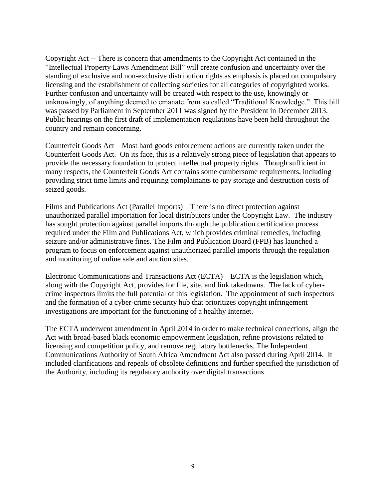Copyright Act -- There is concern that amendments to the Copyright Act contained in the "Intellectual Property Laws Amendment Bill" will create confusion and uncertainty over the standing of exclusive and non-exclusive distribution rights as emphasis is placed on compulsory licensing and the establishment of collecting societies for all categories of copyrighted works. Further confusion and uncertainty will be created with respect to the use, knowingly or unknowingly, of anything deemed to emanate from so called "Traditional Knowledge." This bill was passed by Parliament in September 2011 was signed by the President in December 2013. Public hearings on the first draft of implementation regulations have been held throughout the country and remain concerning.

Counterfeit Goods Act – Most hard goods enforcement actions are currently taken under the Counterfeit Goods Act. On its face, this is a relatively strong piece of legislation that appears to provide the necessary foundation to protect intellectual property rights. Though sufficient in many respects, the Counterfeit Goods Act contains some cumbersome requirements, including providing strict time limits and requiring complainants to pay storage and destruction costs of seized goods.

Films and Publications Act (Parallel Imports) – There is no direct protection against unauthorized parallel importation for local distributors under the Copyright Law. The industry has sought protection against parallel imports through the publication certification process required under the Film and Publications Act, which provides criminal remedies, including seizure and/or administrative fines. The Film and Publication Board (FPB) has launched a program to focus on enforcement against unauthorized parallel imports through the regulation and monitoring of online sale and auction sites.

Electronic Communications and Transactions Act (ECTA) – ECTA is the legislation which, along with the Copyright Act, provides for file, site, and link takedowns. The lack of cybercrime inspectors limits the full potential of this legislation. The appointment of such inspectors and the formation of a cyber-crime security hub that prioritizes copyright infringement investigations are important for the functioning of a healthy Internet.

The ECTA underwent amendment in April 2014 in order to make technical corrections, align the Act with broad-based black economic empowerment legislation, refine provisions related to licensing and competition policy, and remove regulatory bottlenecks. The Independent Communications Authority of South Africa Amendment Act also passed during April 2014. It included clarifications and repeals of obsolete definitions and further specified the jurisdiction of the Authority, including its regulatory authority over digital transactions.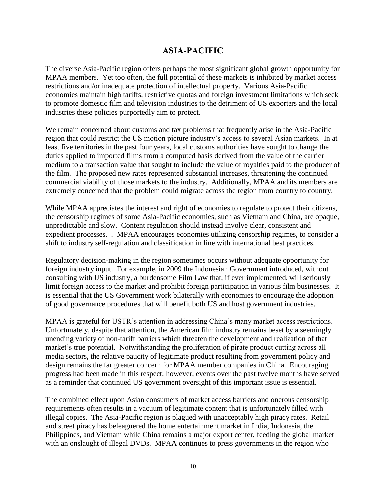## **ASIA-PACIFIC**

The diverse Asia-Pacific region offers perhaps the most significant global growth opportunity for MPAA members. Yet too often, the full potential of these markets is inhibited by market access restrictions and/or inadequate protection of intellectual property. Various Asia-Pacific economies maintain high tariffs, restrictive quotas and foreign investment limitations which seek to promote domestic film and television industries to the detriment of US exporters and the local industries these policies purportedly aim to protect.

We remain concerned about customs and tax problems that frequently arise in the Asia-Pacific region that could restrict the US motion picture industry's access to several Asian markets. In at least five territories in the past four years, local customs authorities have sought to change the duties applied to imported films from a computed basis derived from the value of the carrier medium to a transaction value that sought to include the value of royalties paid to the producer of the film. The proposed new rates represented substantial increases, threatening the continued commercial viability of those markets to the industry. Additionally, MPAA and its members are extremely concerned that the problem could migrate across the region from country to country.

While MPAA appreciates the interest and right of economies to regulate to protect their citizens, the censorship regimes of some Asia-Pacific economies, such as Vietnam and China, are opaque, unpredictable and slow. Content regulation should instead involve clear, consistent and expedient processes. . MPAA encourages economies utilizing censorship regimes, to consider a shift to industry self-regulation and classification in line with international best practices.

Regulatory decision-making in the region sometimes occurs without adequate opportunity for foreign industry input. For example, in 2009 the Indonesian Government introduced, without consulting with US industry, a burdensome Film Law that, if ever implemented, will seriously limit foreign access to the market and prohibit foreign participation in various film businesses. It is essential that the US Government work bilaterally with economies to encourage the adoption of good governance procedures that will benefit both US and host government industries.

MPAA is grateful for USTR's attention in addressing China's many market access restrictions. Unfortunately, despite that attention, the American film industry remains beset by a seemingly unending variety of non-tariff barriers which threaten the development and realization of that market's true potential. Notwithstanding the proliferation of pirate product cutting across all media sectors, the relative paucity of legitimate product resulting from government policy and design remains the far greater concern for MPAA member companies in China. Encouraging progress had been made in this respect; however, events over the past twelve months have served as a reminder that continued US government oversight of this important issue is essential.

The combined effect upon Asian consumers of market access barriers and onerous censorship requirements often results in a vacuum of legitimate content that is unfortunately filled with illegal copies. The Asia-Pacific region is plagued with unacceptably high piracy rates. Retail and street piracy has beleaguered the home entertainment market in India, Indonesia, the Philippines, and Vietnam while China remains a major export center, feeding the global market with an onslaught of illegal DVDs. MPAA continues to press governments in the region who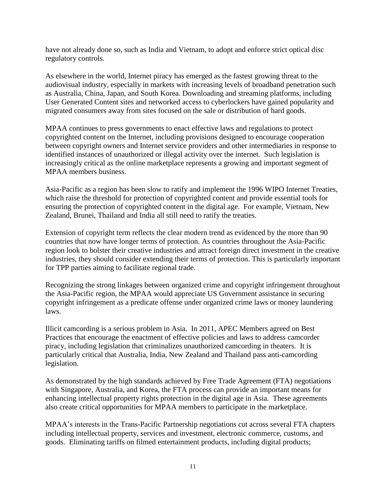have not already done so, such as India and Vietnam, to adopt and enforce strict optical disc regulatory controls.

As elsewhere in the world, Internet piracy has emerged as the fastest growing threat to the audiovisual industry, especially in markets with increasing levels of broadband penetration such as Australia, China, Japan, and South Korea. Downloading and streaming platforms, including User Generated Content sites and networked access to cyberlockers have gained popularity and migrated consumers away from sites focused on the sale or distribution of hard goods.

MPAA continues to press governments to enact effective laws and regulations to protect copyrighted content on the Internet, including provisions designed to encourage cooperation between copyright owners and Internet service providers and other intermediaries in response to identified instances of unauthorized or illegal activity over the internet. Such legislation is increasingly critical as the online marketplace represents a growing and important segment of MPAA members business.

Asia-Pacific as a region has been slow to ratify and implement the 1996 WIPO Internet Treaties, which raise the threshold for protection of copyrighted content and provide essential tools for ensuring the protection of copyrighted content in the digital age. For example, Vietnam, New Zealand, Brunei, Thailand and India all still need to ratify the treaties.

Extension of copyright term reflects the clear modern trend as evidenced by the more than 90 countries that now have longer terms of protection. As countries throughout the Asia-Pacific region look to bolster their creative industries and attract foreign direct investment in the creative industries, they should consider extending their terms of protection. This is particularly important for TPP parties aiming to facilitate regional trade.

Recognizing the strong linkages between organized crime and copyright infringement throughout the Asia-Pacific region, the MPAA would appreciate US Government assistance in securing copyright infringement as a predicate offense under organized crime laws or money laundering laws.

Illicit camcording is a serious problem in Asia. In 2011, APEC Members agreed on Best Practices that encourage the enactment of effective policies and laws to address camcorder piracy, including legislation that criminalizes unauthorized camcording in theaters. It is particularly critical that Australia, India, New Zealand and Thailand pass anti-camcording legislation.

As demonstrated by the high standards achieved by Free Trade Agreement (FTA) negotiations with Singapore, Australia, and Korea, the FTA process can provide an important means for enhancing intellectual property rights protection in the digital age in Asia. These agreements also create critical opportunities for MPAA members to participate in the marketplace.

MPAA's interests in the Trans-Pacific Partnership negotiations cut across several FTA chapters including intellectual property, services and investment, electronic commerce, customs, and goods. Eliminating tariffs on filmed entertainment products, including digital products;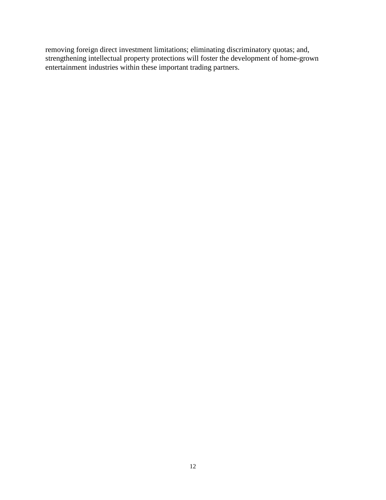removing foreign direct investment limitations; eliminating discriminatory quotas; and, strengthening intellectual property protections will foster the development of home-grown entertainment industries within these important trading partners.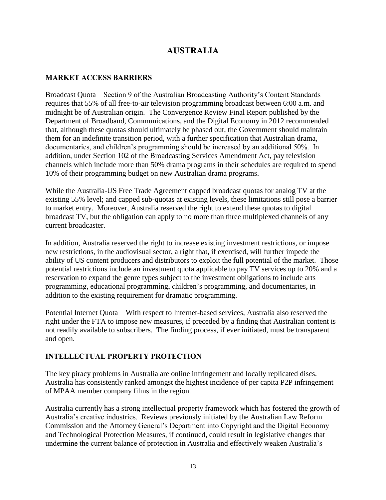# **AUSTRALIA**

#### **MARKET ACCESS BARRIERS**

Broadcast Quota – Section 9 of the Australian Broadcasting Authority's Content Standards requires that 55% of all free-to-air television programming broadcast between 6:00 a.m. and midnight be of Australian origin. The Convergence Review Final Report published by the Department of Broadband, Communications, and the Digital Economy in 2012 recommended that, although these quotas should ultimately be phased out, the Government should maintain them for an indefinite transition period, with a further specification that Australian drama, documentaries, and children's programming should be increased by an additional 50%. In addition, under Section 102 of the Broadcasting Services Amendment Act, pay television channels which include more than 50% drama programs in their schedules are required to spend 10% of their programming budget on new Australian drama programs.

While the Australia-US Free Trade Agreement capped broadcast quotas for analog TV at the existing 55% level; and capped sub-quotas at existing levels, these limitations still pose a barrier to market entry. Moreover, Australia reserved the right to extend these quotas to digital broadcast TV, but the obligation can apply to no more than three multiplexed channels of any current broadcaster.

In addition, Australia reserved the right to increase existing investment restrictions, or impose new restrictions, in the audiovisual sector, a right that, if exercised, will further impede the ability of US content producers and distributors to exploit the full potential of the market. Those potential restrictions include an investment quota applicable to pay TV services up to 20% and a reservation to expand the genre types subject to the investment obligations to include arts programming, educational programming, children's programming, and documentaries, in addition to the existing requirement for dramatic programming.

Potential Internet Quota – With respect to Internet-based services, Australia also reserved the right under the FTA to impose new measures, if preceded by a finding that Australian content is not readily available to subscribers. The finding process, if ever initiated, must be transparent and open.

#### **INTELLECTUAL PROPERTY PROTECTION**

The key piracy problems in Australia are online infringement and locally replicated discs. Australia has consistently ranked amongst the highest incidence of per capita P2P infringement of MPAA member company films in the region.

Australia currently has a strong intellectual property framework which has fostered the growth of Australia's creative industries. Reviews previously initiated by the Australian Law Reform Commission and the Attorney General's Department into Copyright and the Digital Economy and Technological Protection Measures, if continued, could result in legislative changes that undermine the current balance of protection in Australia and effectively weaken Australia's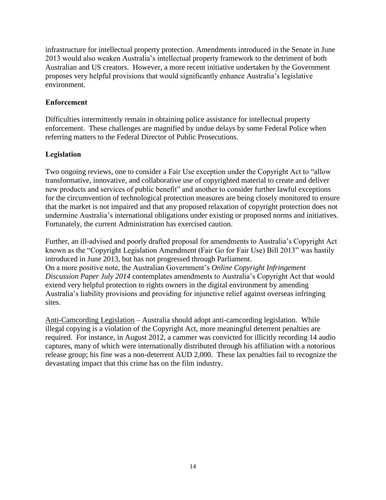infrastructure for intellectual property protection. Amendments introduced in the Senate in June 2013 would also weaken Australia's intellectual property framework to the detriment of both Australian and US creators. However, a more recent initiative undertaken by the Government proposes very helpful provisions that would significantly enhance Australia's legislative environment.

#### **Enforcement**

Difficulties intermittently remain in obtaining police assistance for intellectual property enforcement. These challenges are magnified by undue delays by some Federal Police when referring matters to the Federal Director of Public Prosecutions.

### **Legislation**

Two ongoing reviews, one to consider a Fair Use exception under the Copyright Act to "allow transformative, innovative, and collaborative use of copyrighted material to create and deliver new products and services of public benefit" and another to consider further lawful exceptions for the circumvention of technological protection measures are being closely monitored to ensure that the market is not impaired and that any proposed relaxation of copyright protection does not undermine Australia's international obligations under existing or proposed norms and initiatives. Fortunately, the current Administration has exercised caution.

Further, an ill-advised and poorly drafted proposal for amendments to Australia's Copyright Act known as the "Copyright Legislation Amendment (Fair Go for Fair Use) Bill 2013" was hastily introduced in June 2013, but has not progressed through Parliament. On a more positive note, the Australian Government's *Online Copyright Infringement Discussion Paper July 2014* contemplates amendments to Australia's Copyright Act that would extend very helpful protection to rights owners in the digital environment by amending Australia's liability provisions and providing for injunctive relief against overseas infringing sites.

Anti-Camcording Legislation – Australia should adopt anti-camcording legislation. While illegal copying is a violation of the Copyright Act, more meaningful deterrent penalties are required. For instance, in August 2012, a cammer was convicted for illicitly recording 14 audio captures, many of which were internationally distributed through his affiliation with a notorious release group; his fine was a non-deterrent AUD 2,000. These lax penalties fail to recognize the devastating impact that this crime has on the film industry.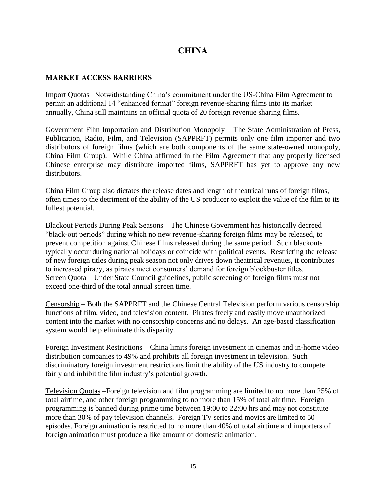# **CHINA**

#### **MARKET ACCESS BARRIERS**

Import Quotas –Notwithstanding China's commitment under the US-China Film Agreement to permit an additional 14 "enhanced format" foreign revenue-sharing films into its market annually, China still maintains an official quota of 20 foreign revenue sharing films.

Government Film Importation and Distribution Monopoly – The State Administration of Press, Publication, Radio, Film, and Television (SAPPRFT) permits only one film importer and two distributors of foreign films (which are both components of the same state-owned monopoly, China Film Group). While China affirmed in the Film Agreement that any properly licensed Chinese enterprise may distribute imported films, SAPPRFT has yet to approve any new distributors.

China Film Group also dictates the release dates and length of theatrical runs of foreign films, often times to the detriment of the ability of the US producer to exploit the value of the film to its fullest potential.

Blackout Periods During Peak Seasons – The Chinese Government has historically decreed "black-out periods" during which no new revenue-sharing foreign films may be released, to prevent competition against Chinese films released during the same period. Such blackouts typically occur during national holidays or coincide with political events. Restricting the release of new foreign titles during peak season not only drives down theatrical revenues, it contributes to increased piracy, as pirates meet consumers' demand for foreign blockbuster titles. Screen Quota – Under State Council guidelines, public screening of foreign films must not exceed one-third of the total annual screen time.

Censorship – Both the SAPPRFT and the Chinese Central Television perform various censorship functions of film, video, and television content. Pirates freely and easily move unauthorized content into the market with no censorship concerns and no delays. An age-based classification system would help eliminate this disparity.

Foreign Investment Restrictions – China limits foreign investment in cinemas and in-home video distribution companies to 49% and prohibits all foreign investment in television. Such discriminatory foreign investment restrictions limit the ability of the US industry to compete fairly and inhibit the film industry's potential growth.

Television Quotas –Foreign television and film programming are limited to no more than 25% of total airtime, and other foreign programming to no more than 15% of total air time. Foreign programming is banned during prime time between 19:00 to 22:00 hrs and may not constitute more than 30% of pay television channels. Foreign TV series and movies are limited to 50 episodes. Foreign animation is restricted to no more than 40% of total airtime and importers of foreign animation must produce a like amount of domestic animation.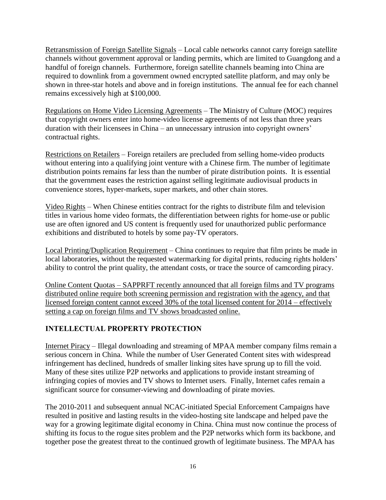Retransmission of Foreign Satellite Signals – Local cable networks cannot carry foreign satellite channels without government approval or landing permits, which are limited to Guangdong and a handful of foreign channels. Furthermore, foreign satellite channels beaming into China are required to downlink from a government owned encrypted satellite platform, and may only be shown in three-star hotels and above and in foreign institutions. The annual fee for each channel remains excessively high at \$100,000.

Regulations on Home Video Licensing Agreements – The Ministry of Culture (MOC) requires that copyright owners enter into home-video license agreements of not less than three years duration with their licensees in China – an unnecessary intrusion into copyright owners' contractual rights.

Restrictions on Retailers – Foreign retailers are precluded from selling home-video products without entering into a qualifying joint venture with a Chinese firm. The number of legitimate distribution points remains far less than the number of pirate distribution points. It is essential that the government eases the restriction against selling legitimate audiovisual products in convenience stores, hyper-markets, super markets, and other chain stores.

Video Rights – When Chinese entities contract for the rights to distribute film and television titles in various home video formats, the differentiation between rights for home-use or public use are often ignored and US content is frequently used for unauthorized public performance exhibitions and distributed to hotels by some pay-TV operators.

Local Printing/Duplication Requirement – China continues to require that film prints be made in local laboratories, without the requested watermarking for digital prints, reducing rights holders' ability to control the print quality, the attendant costs, or trace the source of camcording piracy.

Online Content Quotas – SAPPRFT recently announced that all foreign films and TV programs distributed online require both screening permission and registration with the agency, and that licensed foreign content cannot exceed 30% of the total licensed content for 2014 – effectively setting a cap on foreign films and TV shows broadcasted online.

#### **INTELLECTUAL PROPERTY PROTECTION**

Internet Piracy – Illegal downloading and streaming of MPAA member company films remain a serious concern in China. While the number of User Generated Content sites with widespread infringement has declined, hundreds of smaller linking sites have sprung up to fill the void. Many of these sites utilize P2P networks and applications to provide instant streaming of infringing copies of movies and TV shows to Internet users. Finally, Internet cafes remain a significant source for consumer-viewing and downloading of pirate movies.

The 2010-2011 and subsequent annual NCAC-initiated Special Enforcement Campaigns have resulted in positive and lasting results in the video-hosting site landscape and helped pave the way for a growing legitimate digital economy in China. China must now continue the process of shifting its focus to the rogue sites problem and the P2P networks which form its backbone, and together pose the greatest threat to the continued growth of legitimate business. The MPAA has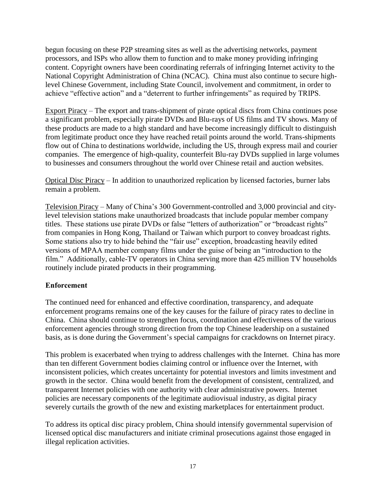begun focusing on these P2P streaming sites as well as the advertising networks, payment processors, and ISPs who allow them to function and to make money providing infringing content. Copyright owners have been coordinating referrals of infringing Internet activity to the National Copyright Administration of China (NCAC). China must also continue to secure highlevel Chinese Government, including State Council, involvement and commitment, in order to achieve "effective action" and a "deterrent to further infringements" as required by TRIPS.

Export Piracy – The export and trans-shipment of pirate optical discs from China continues pose a significant problem, especially pirate DVDs and Blu-rays of US films and TV shows. Many of these products are made to a high standard and have become increasingly difficult to distinguish from legitimate product once they have reached retail points around the world. Trans-shipments flow out of China to destinations worldwide, including the US, through express mail and courier companies. The emergence of high-quality, counterfeit Blu-ray DVDs supplied in large volumes to businesses and consumers throughout the world over Chinese retail and auction websites.

Optical Disc Piracy – In addition to unauthorized replication by licensed factories, burner labs remain a problem.

Television Piracy – Many of China's 300 Government-controlled and 3,000 provincial and citylevel television stations make unauthorized broadcasts that include popular member company titles. These stations use pirate DVDs or false "letters of authorization" or "broadcast rights" from companies in Hong Kong, Thailand or Taiwan which purport to convey broadcast rights. Some stations also try to hide behind the "fair use" exception, broadcasting heavily edited versions of MPAA member company films under the guise of being an "introduction to the film." Additionally, cable-TV operators in China serving more than 425 million TV households routinely include pirated products in their programming.

#### **Enforcement**

The continued need for enhanced and effective coordination, transparency, and adequate enforcement programs remains one of the key causes for the failure of piracy rates to decline in China. China should continue to strengthen focus, coordination and effectiveness of the various enforcement agencies through strong direction from the top Chinese leadership on a sustained basis, as is done during the Government's special campaigns for crackdowns on Internet piracy.

This problem is exacerbated when trying to address challenges with the Internet. China has more than ten different Government bodies claiming control or influence over the Internet, with inconsistent policies, which creates uncertainty for potential investors and limits investment and growth in the sector. China would benefit from the development of consistent, centralized, and transparent Internet policies with one authority with clear administrative powers. Internet policies are necessary components of the legitimate audiovisual industry, as digital piracy severely curtails the growth of the new and existing marketplaces for entertainment product.

To address its optical disc piracy problem, China should intensify governmental supervision of licensed optical disc manufacturers and initiate criminal prosecutions against those engaged in illegal replication activities.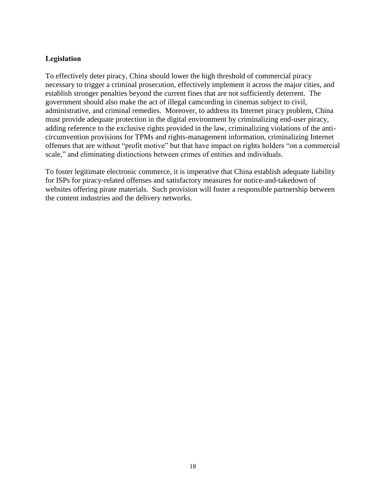#### **Legislation**

To effectively deter piracy, China should lower the high threshold of commercial piracy necessary to trigger a criminal prosecution, effectively implement it across the major cities, and establish stronger penalties beyond the current fines that are not sufficiently deterrent. The government should also make the act of illegal camcording in cinemas subject to civil, administrative, and criminal remedies. Moreover, to address its Internet piracy problem, China must provide adequate protection in the digital environment by criminalizing end-user piracy, adding reference to the exclusive rights provided in the law, criminalizing violations of the anticircumvention provisions for TPMs and rights-management information, criminalizing Internet offenses that are without "profit motive" but that have impact on rights holders "on a commercial scale," and eliminating distinctions between crimes of entities and individuals.

To foster legitimate electronic commerce, it is imperative that China establish adequate liability for ISPs for piracy-related offenses and satisfactory measures for notice-and-takedown of websites offering pirate materials. Such provision will foster a responsible partnership between the content industries and the delivery networks.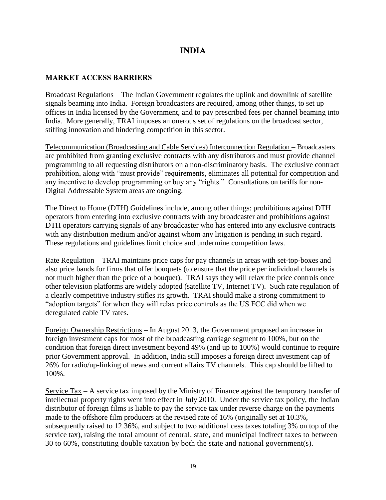# **INDIA**

#### **MARKET ACCESS BARRIERS**

Broadcast Regulations – The Indian Government regulates the uplink and downlink of satellite signals beaming into India. Foreign broadcasters are required, among other things, to set up offices in India licensed by the Government, and to pay prescribed fees per channel beaming into India. More generally, TRAI imposes an onerous set of regulations on the broadcast sector, stifling innovation and hindering competition in this sector.

Telecommunication (Broadcasting and Cable Services) Interconnection Regulation – Broadcasters are prohibited from granting exclusive contracts with any distributors and must provide channel programming to all requesting distributors on a non-discriminatory basis. The exclusive contract prohibition, along with "must provide" requirements, eliminates all potential for competition and any incentive to develop programming or buy any "rights." Consultations on tariffs for non-Digital Addressable System areas are ongoing.

The Direct to Home (DTH) Guidelines include, among other things: prohibitions against DTH operators from entering into exclusive contracts with any broadcaster and prohibitions against DTH operators carrying signals of any broadcaster who has entered into any exclusive contracts with any distribution medium and/or against whom any litigation is pending in such regard. These regulations and guidelines limit choice and undermine competition laws.

Rate Regulation – TRAI maintains price caps for pay channels in areas with set-top-boxes and also price bands for firms that offer bouquets (to ensure that the price per individual channels is not much higher than the price of a bouquet). TRAI says they will relax the price controls once other television platforms are widely adopted (satellite TV, Internet TV). Such rate regulation of a clearly competitive industry stifles its growth. TRAI should make a strong commitment to "adoption targets" for when they will relax price controls as the US FCC did when we deregulated cable TV rates.

Foreign Ownership Restrictions – In August 2013, the Government proposed an increase in foreign investment caps for most of the broadcasting carriage segment to 100%, but on the condition that foreign direct investment beyond 49% (and up to 100%) would continue to require prior Government approval. In addition, India still imposes a foreign direct investment cap of 26% for radio/up-linking of news and current affairs TV channels. This cap should be lifted to 100%.

Service Tax – A service tax imposed by the Ministry of Finance against the temporary transfer of intellectual property rights went into effect in July 2010. Under the service tax policy, the Indian distributor of foreign films is liable to pay the service tax under reverse charge on the payments made to the offshore film producers at the revised rate of 16% (originally set at 10.3%, subsequently raised to 12.36%, and subject to two additional cess taxes totaling 3% on top of the service tax), raising the total amount of central, state, and municipal indirect taxes to between 30 to 60%, constituting double taxation by both the state and national government(s).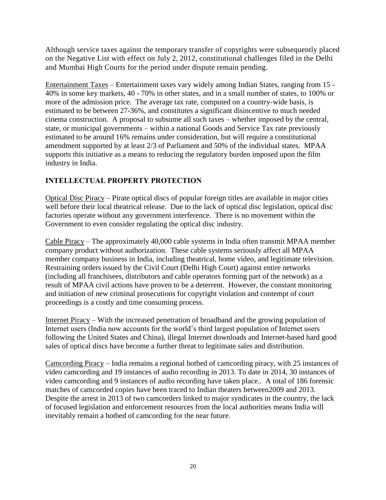Although service taxes against the temporary transfer of copyrights were subsequently placed on the Negative List with effect on July 2, 2012, constitutional challenges filed in the Delhi and Mumbai High Courts for the period under dispute remain pending.

Entertainment Taxes – Entertainment taxes vary widely among Indian States, ranging from 15 - 40% in some key markets, 40 - 70% in other states, and in a small number of states, to 100% or more of the admission price. The average tax rate, computed on a country-wide basis, is estimated to be between 27-36%, and constitutes a significant disincentive to much needed cinema construction. A proposal to subsume all such taxes – whether imposed by the central, state, or municipal governments – within a national Goods and Service Tax rate previously estimated to be around 16% remains under consideration, but will require a constitutional amendment supported by at least 2/3 of Parliament and 50% of the individual states. MPAA supports this initiative as a means to reducing the regulatory burden imposed upon the film industry in India.

## **INTELLECTUAL PROPERTY PROTECTION**

Optical Disc Piracy – Pirate optical discs of popular foreign titles are available in major cities well before their local theatrical release. Due to the lack of optical disc legislation, optical disc factories operate without any government interference. There is no movement within the Government to even consider regulating the optical disc industry.

Cable Piracy – The approximately 40,000 cable systems in India often transmit MPAA member company product without authorization. These cable systems seriously affect all MPAA member company business in India, including theatrical, home video, and legitimate television. Restraining orders issued by the Civil Court (Delhi High Court) against entire networks (including all franchisees, distributors and cable operators forming part of the network) as a result of MPAA civil actions have proven to be a deterrent. However, the constant monitoring and initiation of new criminal prosecutions for copyright violation and contempt of court proceedings is a costly and time consuming process.

Internet Piracy – With the increased penetration of broadband and the growing population of Internet users (India now accounts for the world's third largest population of Internet users following the United States and China), illegal Internet downloads and Internet-based hard good sales of optical discs have become a further threat to legitimate sales and distribution.

Camcording Piracy – India remains a regional hotbed of camcording piracy, with 25 instances of video camcording and 19 instances of audio recording in 2013. To date in 2014, 30 instances of video camcording and 9 instances of audio recording have taken place.. A total of 186 forensic matches of camcorded copies have been traced to Indian theaters between2009 and 2013. Despite the arrest in 2013 of two camcorders linked to major syndicates in the country, the lack of focused legislation and enforcement resources from the local authorities means India will inevitably remain a hotbed of camcording for the near future.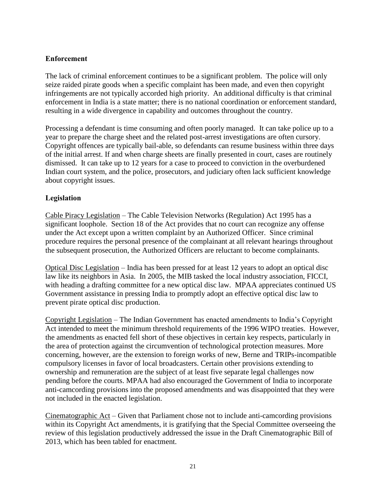#### **Enforcement**

The lack of criminal enforcement continues to be a significant problem. The police will only seize raided pirate goods when a specific complaint has been made, and even then copyright infringements are not typically accorded high priority. An additional difficulty is that criminal enforcement in India is a state matter; there is no national coordination or enforcement standard, resulting in a wide divergence in capability and outcomes throughout the country.

Processing a defendant is time consuming and often poorly managed. It can take police up to a year to prepare the charge sheet and the related post-arrest investigations are often cursory. Copyright offences are typically bail-able, so defendants can resume business within three days of the initial arrest. If and when charge sheets are finally presented in court, cases are routinely dismissed. It can take up to 12 years for a case to proceed to conviction in the overburdened Indian court system, and the police, prosecutors, and judiciary often lack sufficient knowledge about copyright issues.

### **Legislation**

Cable Piracy Legislation – The Cable Television Networks (Regulation) Act 1995 has a significant loophole. Section 18 of the Act provides that no court can recognize any offense under the Act except upon a written complaint by an Authorized Officer. Since criminal procedure requires the personal presence of the complainant at all relevant hearings throughout the subsequent prosecution, the Authorized Officers are reluctant to become complainants.

Optical Disc Legislation – India has been pressed for at least 12 years to adopt an optical disc law like its neighbors in Asia. In 2005, the MIB tasked the local industry association, FICCI, with heading a drafting committee for a new optical disc law. MPAA appreciates continued US Government assistance in pressing India to promptly adopt an effective optical disc law to prevent pirate optical disc production.

Copyright Legislation – The Indian Government has enacted amendments to India's Copyright Act intended to meet the minimum threshold requirements of the 1996 WIPO treaties. However, the amendments as enacted fell short of these objectives in certain key respects, particularly in the area of protection against the circumvention of technological protection measures. More concerning, however, are the extension to foreign works of new, Berne and TRIPs-incompatible compulsory licenses in favor of local broadcasters. Certain other provisions extending to ownership and remuneration are the subject of at least five separate legal challenges now pending before the courts. MPAA had also encouraged the Government of India to incorporate anti-camcording provisions into the proposed amendments and was disappointed that they were not included in the enacted legislation.

Cinematographic Act – Given that Parliament chose not to include anti-camcording provisions within its Copyright Act amendments, it is gratifying that the Special Committee overseeing the review of this legislation productively addressed the issue in the Draft Cinematographic Bill of 2013, which has been tabled for enactment.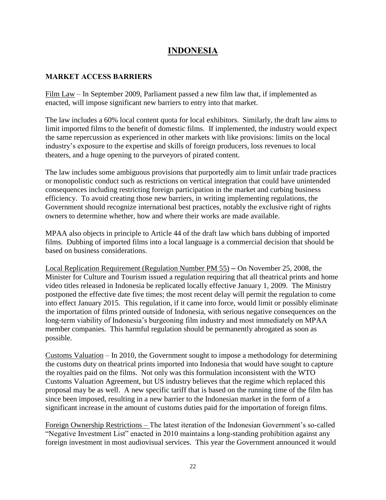## **INDONESIA**

#### **MARKET ACCESS BARRIERS**

Film Law – In September 2009, Parliament passed a new film law that, if implemented as enacted, will impose significant new barriers to entry into that market.

The law includes a 60% local content quota for local exhibitors. Similarly, the draft law aims to limit imported films to the benefit of domestic films. If implemented, the industry would expect the same repercussion as experienced in other markets with like provisions: limits on the local industry's exposure to the expertise and skills of foreign producers, loss revenues to local theaters, and a huge opening to the purveyors of pirated content.

The law includes some ambiguous provisions that purportedly aim to limit unfair trade practices or monopolistic conduct such as restrictions on vertical integration that could have unintended consequences including restricting foreign participation in the market and curbing business efficiency. To avoid creating those new barriers, in writing implementing regulations, the Government should recognize international best practices, notably the exclusive right of rights owners to determine whether, how and where their works are made available.

MPAA also objects in principle to Article 44 of the draft law which bans dubbing of imported films. Dubbing of imported films into a local language is a commercial decision that should be based on business considerations.

Local Replication Requirement (Regulation Number PM 55) – On November 25, 2008, the Minister for Culture and Tourism issued a regulation requiring that all theatrical prints and home video titles released in Indonesia be replicated locally effective January 1, 2009. The Ministry postponed the effective date five times; the most recent delay will permit the regulation to come into effect January 2015. This regulation, if it came into force, would limit or possibly eliminate the importation of films printed outside of Indonesia, with serious negative consequences on the long-term viability of Indonesia's burgeoning film industry and most immediately on MPAA member companies. This harmful regulation should be permanently abrogated as soon as possible.

Customs Valuation – In 2010, the Government sought to impose a methodology for determining the customs duty on theatrical prints imported into Indonesia that would have sought to capture the royalties paid on the films. Not only was this formulation inconsistent with the WTO Customs Valuation Agreement, but US industry believes that the regime which replaced this proposal may be as well. A new specific tariff that is based on the running time of the film has since been imposed, resulting in a new barrier to the Indonesian market in the form of a significant increase in the amount of customs duties paid for the importation of foreign films.

Foreign Ownership Restrictions – The latest iteration of the Indonesian Government's so-called "Negative Investment List" enacted in 2010 maintains a long-standing prohibition against any foreign investment in most audiovisual services. This year the Government announced it would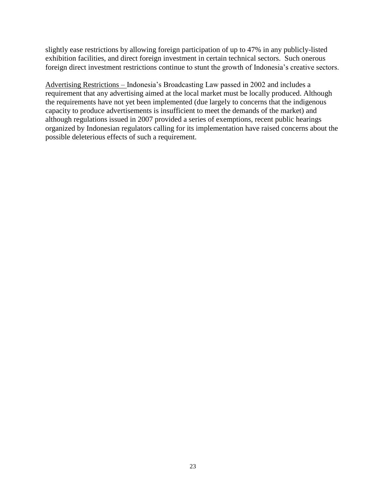slightly ease restrictions by allowing foreign participation of up to 47% in any publicly-listed exhibition facilities, and direct foreign investment in certain technical sectors. Such onerous foreign direct investment restrictions continue to stunt the growth of Indonesia's creative sectors.

Advertising Restrictions – Indonesia's Broadcasting Law passed in 2002 and includes a requirement that any advertising aimed at the local market must be locally produced. Although the requirements have not yet been implemented (due largely to concerns that the indigenous capacity to produce advertisements is insufficient to meet the demands of the market) and although regulations issued in 2007 provided a series of exemptions, recent public hearings organized by Indonesian regulators calling for its implementation have raised concerns about the possible deleterious effects of such a requirement.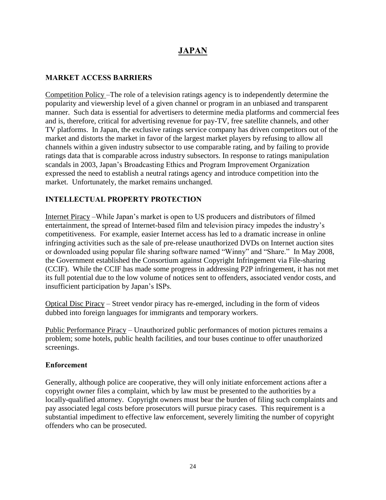# **JAPAN**

### **MARKET ACCESS BARRIERS**

Competition Policy –The role of a television ratings agency is to independently determine the popularity and viewership level of a given channel or program in an unbiased and transparent manner. Such data is essential for advertisers to determine media platforms and commercial fees and is, therefore, critical for advertising revenue for pay-TV, free satellite channels, and other TV platforms. In Japan, the exclusive ratings service company has driven competitors out of the market and distorts the market in favor of the largest market players by refusing to allow all channels within a given industry subsector to use comparable rating, and by failing to provide ratings data that is comparable across industry subsectors. In response to ratings manipulation scandals in 2003, Japan's Broadcasting Ethics and Program Improvement Organization expressed the need to establish a neutral ratings agency and introduce competition into the market. Unfortunately, the market remains unchanged.

## **INTELLECTUAL PROPERTY PROTECTION**

Internet Piracy –While Japan's market is open to US producers and distributors of filmed entertainment, the spread of Internet-based film and television piracy impedes the industry's competitiveness. For example, easier Internet access has led to a dramatic increase in online infringing activities such as the sale of pre-release unauthorized DVDs on Internet auction sites or downloaded using popular file sharing software named "Winny" and "Share." In May 2008, the Government established the Consortium against Copyright Infringement via File-sharing (CCIF). While the CCIF has made some progress in addressing P2P infringement, it has not met its full potential due to the low volume of notices sent to offenders, associated vendor costs, and insufficient participation by Japan's ISPs.

Optical Disc Piracy – Street vendor piracy has re-emerged, including in the form of videos dubbed into foreign languages for immigrants and temporary workers.

Public Performance Piracy – Unauthorized public performances of motion pictures remains a problem; some hotels, public health facilities, and tour buses continue to offer unauthorized screenings.

#### **Enforcement**

Generally, although police are cooperative, they will only initiate enforcement actions after a copyright owner files a complaint, which by law must be presented to the authorities by a locally-qualified attorney. Copyright owners must bear the burden of filing such complaints and pay associated legal costs before prosecutors will pursue piracy cases. This requirement is a substantial impediment to effective law enforcement, severely limiting the number of copyright offenders who can be prosecuted.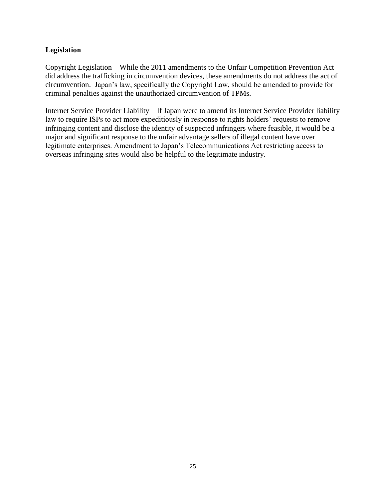#### **Legislation**

Copyright Legislation – While the 2011 amendments to the Unfair Competition Prevention Act did address the trafficking in circumvention devices, these amendments do not address the act of circumvention. Japan's law, specifically the Copyright Law, should be amended to provide for criminal penalties against the unauthorized circumvention of TPMs.

Internet Service Provider Liability – If Japan were to amend its Internet Service Provider liability law to require ISPs to act more expeditiously in response to rights holders' requests to remove infringing content and disclose the identity of suspected infringers where feasible, it would be a major and significant response to the unfair advantage sellers of illegal content have over legitimate enterprises. Amendment to Japan's Telecommunications Act restricting access to overseas infringing sites would also be helpful to the legitimate industry.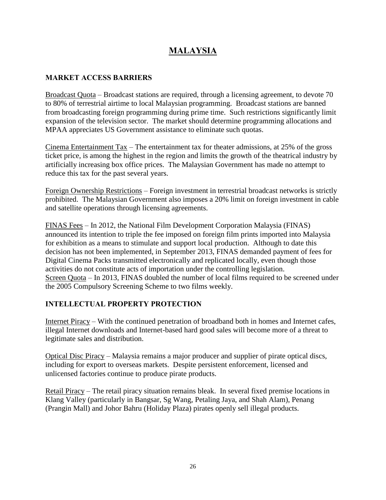# **MALAYSIA**

### **MARKET ACCESS BARRIERS**

Broadcast Quota – Broadcast stations are required, through a licensing agreement, to devote 70 to 80% of terrestrial airtime to local Malaysian programming. Broadcast stations are banned from broadcasting foreign programming during prime time. Such restrictions significantly limit expansion of the television sector. The market should determine programming allocations and MPAA appreciates US Government assistance to eliminate such quotas.

Cinema Entertainment Tax – The entertainment tax for theater admissions, at 25% of the gross ticket price, is among the highest in the region and limits the growth of the theatrical industry by artificially increasing box office prices. The Malaysian Government has made no attempt to reduce this tax for the past several years.

Foreign Ownership Restrictions – Foreign investment in terrestrial broadcast networks is strictly prohibited. The Malaysian Government also imposes a 20% limit on foreign investment in cable and satellite operations through licensing agreements.

FINAS Fees – In 2012, the National Film Development Corporation Malaysia (FINAS) announced its intention to triple the fee imposed on foreign film prints imported into Malaysia for exhibition as a means to stimulate and support local production. Although to date this decision has not been implemented, in September 2013, FINAS demanded payment of fees for Digital Cinema Packs transmitted electronically and replicated locally, even though those activities do not constitute acts of importation under the controlling legislation. Screen Quota – In 2013, FINAS doubled the number of local films required to be screened under the 2005 Compulsory Screening Scheme to two films weekly.

### **INTELLECTUAL PROPERTY PROTECTION**

Internet Piracy – With the continued penetration of broadband both in homes and Internet cafes, illegal Internet downloads and Internet-based hard good sales will become more of a threat to legitimate sales and distribution.

Optical Disc Piracy – Malaysia remains a major producer and supplier of pirate optical discs, including for export to overseas markets. Despite persistent enforcement, licensed and unlicensed factories continue to produce pirate products.

Retail Piracy – The retail piracy situation remains bleak. In several fixed premise locations in Klang Valley (particularly in Bangsar, Sg Wang, Petaling Jaya, and Shah Alam), Penang (Prangin Mall) and Johor Bahru (Holiday Plaza) pirates openly sell illegal products.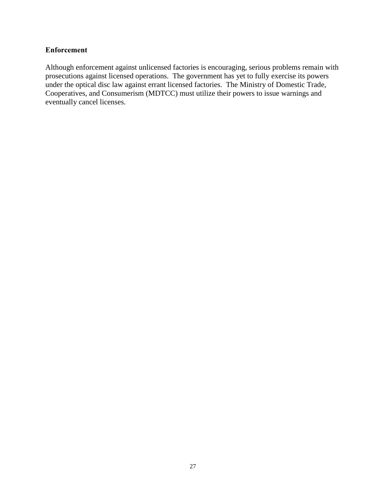#### **Enforcement**

Although enforcement against unlicensed factories is encouraging, serious problems remain with prosecutions against licensed operations. The government has yet to fully exercise its powers under the optical disc law against errant licensed factories. The Ministry of Domestic Trade, Cooperatives, and Consumerism (MDTCC) must utilize their powers to issue warnings and eventually cancel licenses.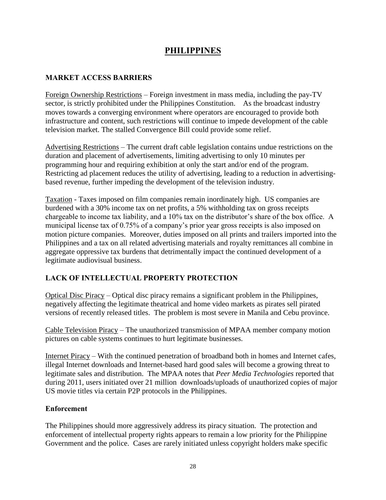## **PHILIPPINES**

#### **MARKET ACCESS BARRIERS**

Foreign Ownership Restrictions – Foreign investment in mass media, including the pay-TV sector, is strictly prohibited under the Philippines Constitution. As the broadcast industry moves towards a converging environment where operators are encouraged to provide both infrastructure and content, such restrictions will continue to impede development of the cable television market. The stalled Convergence Bill could provide some relief.

Advertising Restrictions – The current draft cable legislation contains undue restrictions on the duration and placement of advertisements, limiting advertising to only 10 minutes per programming hour and requiring exhibition at only the start and/or end of the program. Restricting ad placement reduces the utility of advertising, leading to a reduction in advertisingbased revenue, further impeding the development of the television industry.

Taxation - Taxes imposed on film companies remain inordinately high. US companies are burdened with a 30% income tax on net profits, a 5% withholding tax on gross receipts chargeable to income tax liability, and a 10% tax on the distributor's share of the box office. A municipal license tax of 0.75% of a company's prior year gross receipts is also imposed on motion picture companies. Moreover, duties imposed on all prints and trailers imported into the Philippines and a tax on all related advertising materials and royalty remittances all combine in aggregate oppressive tax burdens that detrimentally impact the continued development of a legitimate audiovisual business.

## **LACK OF INTELLECTUAL PROPERTY PROTECTION**

Optical Disc Piracy – Optical disc piracy remains a significant problem in the Philippines, negatively affecting the legitimate theatrical and home video markets as pirates sell pirated versions of recently released titles. The problem is most severe in Manila and Cebu province.

Cable Television Piracy – The unauthorized transmission of MPAA member company motion pictures on cable systems continues to hurt legitimate businesses.

Internet Piracy – With the continued penetration of broadband both in homes and Internet cafes, illegal Internet downloads and Internet-based hard good sales will become a growing threat to legitimate sales and distribution. The MPAA notes that *Peer Media Technologies* reported that during 2011, users initiated over 21 million downloads/uploads of unauthorized copies of major US movie titles via certain P2P protocols in the Philippines.

#### **Enforcement**

The Philippines should more aggressively address its piracy situation. The protection and enforcement of intellectual property rights appears to remain a low priority for the Philippine Government and the police. Cases are rarely initiated unless copyright holders make specific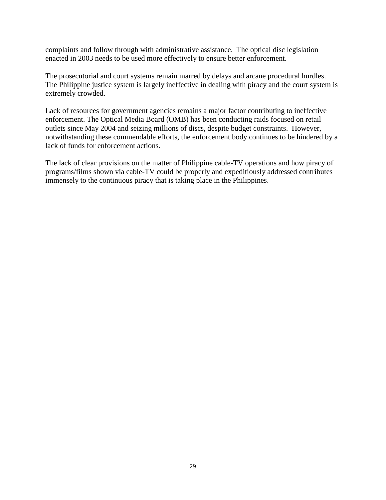complaints and follow through with administrative assistance. The optical disc legislation enacted in 2003 needs to be used more effectively to ensure better enforcement.

The prosecutorial and court systems remain marred by delays and arcane procedural hurdles. The Philippine justice system is largely ineffective in dealing with piracy and the court system is extremely crowded.

Lack of resources for government agencies remains a major factor contributing to ineffective enforcement. The Optical Media Board (OMB) has been conducting raids focused on retail outlets since May 2004 and seizing millions of discs, despite budget constraints. However, notwithstanding these commendable efforts, the enforcement body continues to be hindered by a lack of funds for enforcement actions.

The lack of clear provisions on the matter of Philippine cable-TV operations and how piracy of programs/films shown via cable-TV could be properly and expeditiously addressed contributes immensely to the continuous piracy that is taking place in the Philippines.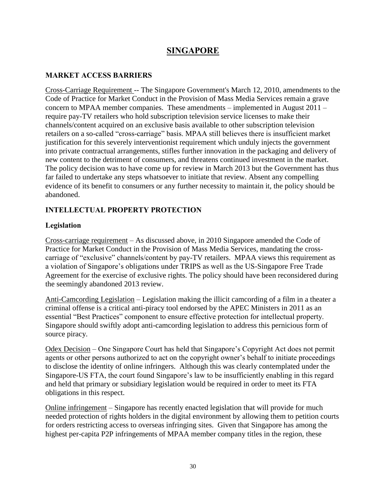## **SINGAPORE**

### **MARKET ACCESS BARRIERS**

Cross-Carriage Requirement -- The Singapore Government's March 12, 2010, amendments to the Code of Practice for Market Conduct in the Provision of Mass Media Services remain a grave concern to MPAA member companies. These amendments – implemented in August 2011 – require pay-TV retailers who hold subscription television service licenses to make their channels/content acquired on an exclusive basis available to other subscription television retailers on a so-called "cross-carriage" basis. MPAA still believes there is insufficient market justification for this severely interventionist requirement which unduly injects the government into private contractual arrangements, stifles further innovation in the packaging and delivery of new content to the detriment of consumers, and threatens continued investment in the market. The policy decision was to have come up for review in March 2013 but the Government has thus far failed to undertake any steps whatsoever to initiate that review. Absent any compelling evidence of its benefit to consumers or any further necessity to maintain it, the policy should be abandoned.

### **INTELLECTUAL PROPERTY PROTECTION**

#### **Legislation**

Cross-carriage requirement – As discussed above, in 2010 Singapore amended the Code of Practice for Market Conduct in the Provision of Mass Media Services, mandating the crosscarriage of "exclusive" channels/content by pay-TV retailers. MPAA views this requirement as a violation of Singapore's obligations under TRIPS as well as the US-Singapore Free Trade Agreement for the exercise of exclusive rights. The policy should have been reconsidered during the seemingly abandoned 2013 review.

Anti-Camcording Legislation – Legislation making the illicit camcording of a film in a theater a criminal offense is a critical anti-piracy tool endorsed by the APEC Ministers in 2011 as an essential "Best Practices" component to ensure effective protection for intellectual property. Singapore should swiftly adopt anti-camcording legislation to address this pernicious form of source piracy.

Odex Decision – One Singapore Court has held that Singapore's Copyright Act does not permit agents or other persons authorized to act on the copyright owner's behalf to initiate proceedings to disclose the identity of online infringers. Although this was clearly contemplated under the Singapore-US FTA, the court found Singapore's law to be insufficiently enabling in this regard and held that primary or subsidiary legislation would be required in order to meet its FTA obligations in this respect.

Online infringement – Singapore has recently enacted legislation that will provide for much needed protection of rights holders in the digital environment by allowing them to petition courts for orders restricting access to overseas infringing sites. Given that Singapore has among the highest per-capita P2P infringements of MPAA member company titles in the region, these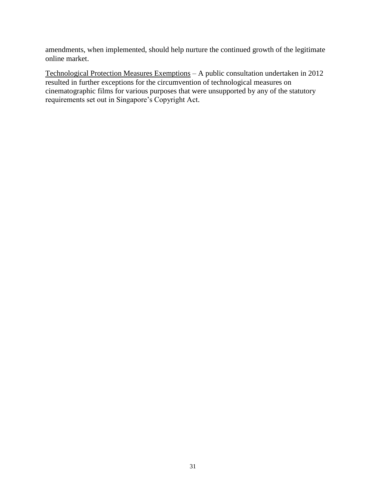amendments, when implemented, should help nurture the continued growth of the legitimate online market.

Technological Protection Measures Exemptions – A public consultation undertaken in 2012 resulted in further exceptions for the circumvention of technological measures on cinematographic films for various purposes that were unsupported by any of the statutory requirements set out in Singapore's Copyright Act.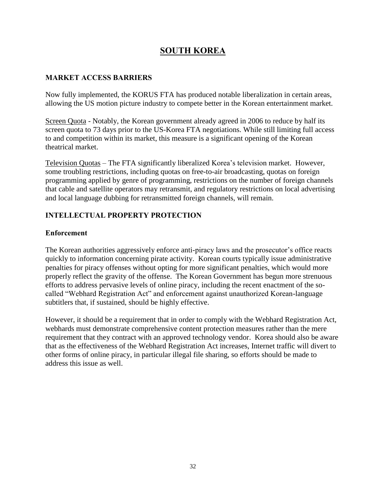# **SOUTH KOREA**

#### **MARKET ACCESS BARRIERS**

Now fully implemented, the KORUS FTA has produced notable liberalization in certain areas, allowing the US motion picture industry to compete better in the Korean entertainment market.

Screen Quota - Notably, the Korean government already agreed in 2006 to reduce by half its screen quota to 73 days prior to the US-Korea FTA negotiations. While still limiting full access to and competition within its market, this measure is a significant opening of the Korean theatrical market.

Television Quotas – The FTA significantly liberalized Korea's television market. However, some troubling restrictions, including quotas on free-to-air broadcasting, quotas on foreign programming applied by genre of programming, restrictions on the number of foreign channels that cable and satellite operators may retransmit, and regulatory restrictions on local advertising and local language dubbing for retransmitted foreign channels, will remain.

## **INTELLECTUAL PROPERTY PROTECTION**

#### **Enforcement**

The Korean authorities aggressively enforce anti-piracy laws and the prosecutor's office reacts quickly to information concerning pirate activity. Korean courts typically issue administrative penalties for piracy offenses without opting for more significant penalties, which would more properly reflect the gravity of the offense. The Korean Government has begun more strenuous efforts to address pervasive levels of online piracy, including the recent enactment of the socalled "Webhard Registration Act" and enforcement against unauthorized Korean-language subtitlers that, if sustained, should be highly effective.

However, it should be a requirement that in order to comply with the Webhard Registration Act, webhards must demonstrate comprehensive content protection measures rather than the mere requirement that they contract with an approved technology vendor. Korea should also be aware that as the effectiveness of the Webhard Registration Act increases, Internet traffic will divert to other forms of online piracy, in particular illegal file sharing, so efforts should be made to address this issue as well.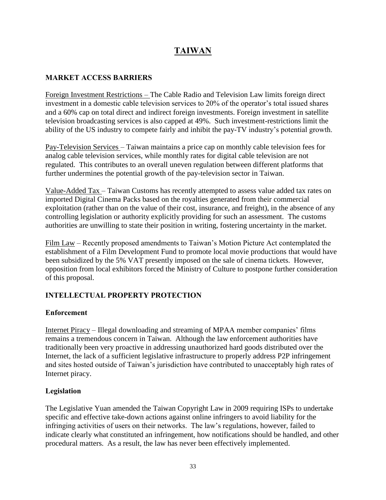# **TAIWAN**

## **MARKET ACCESS BARRIERS**

Foreign Investment Restrictions – The Cable Radio and Television Law limits foreign direct investment in a domestic cable television services to 20% of the operator's total issued shares and a 60% cap on total direct and indirect foreign investments. Foreign investment in satellite television broadcasting services is also capped at 49%. Such investment-restrictions limit the ability of the US industry to compete fairly and inhibit the pay-TV industry's potential growth.

Pay-Television Services – Taiwan maintains a price cap on monthly cable television fees for analog cable television services, while monthly rates for digital cable television are not regulated. This contributes to an overall uneven regulation between different platforms that further undermines the potential growth of the pay-television sector in Taiwan.

Value-Added Tax – Taiwan Customs has recently attempted to assess value added tax rates on imported Digital Cinema Packs based on the royalties generated from their commercial exploitation (rather than on the value of their cost, insurance, and freight), in the absence of any controlling legislation or authority explicitly providing for such an assessment. The customs authorities are unwilling to state their position in writing, fostering uncertainty in the market.

Film Law – Recently proposed amendments to Taiwan's Motion Picture Act contemplated the establishment of a Film Development Fund to promote local movie productions that would have been subsidized by the 5% VAT presently imposed on the sale of cinema tickets. However, opposition from local exhibitors forced the Ministry of Culture to postpone further consideration of this proposal.

## **INTELLECTUAL PROPERTY PROTECTION**

#### **Enforcement**

Internet Piracy – Illegal downloading and streaming of MPAA member companies' films remains a tremendous concern in Taiwan. Although the law enforcement authorities have traditionally been very proactive in addressing unauthorized hard goods distributed over the Internet, the lack of a sufficient legislative infrastructure to properly address P2P infringement and sites hosted outside of Taiwan's jurisdiction have contributed to unacceptably high rates of Internet piracy.

#### **Legislation**

The Legislative Yuan amended the Taiwan Copyright Law in 2009 requiring ISPs to undertake specific and effective take-down actions against online infringers to avoid liability for the infringing activities of users on their networks. The law's regulations, however, failed to indicate clearly what constituted an infringement, how notifications should be handled, and other procedural matters. As a result, the law has never been effectively implemented.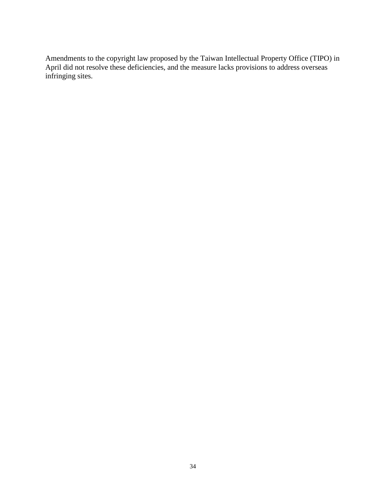Amendments to the copyright law proposed by the Taiwan Intellectual Property Office (TIPO) in April did not resolve these deficiencies, and the measure lacks provisions to address overseas infringing sites.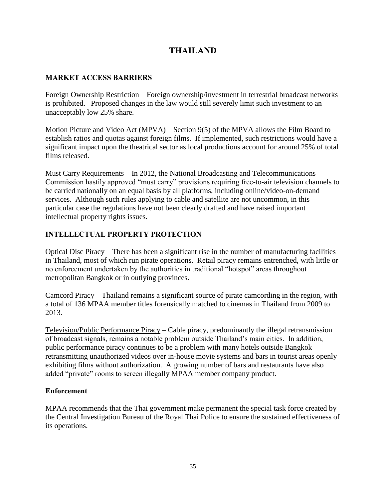# **THAILAND**

### **MARKET ACCESS BARRIERS**

Foreign Ownership Restriction – Foreign ownership/investment in terrestrial broadcast networks is prohibited. Proposed changes in the law would still severely limit such investment to an unacceptably low 25% share.

Motion Picture and Video Act (MPVA) – Section 9(5) of the MPVA allows the Film Board to establish ratios and quotas against foreign films. If implemented, such restrictions would have a significant impact upon the theatrical sector as local productions account for around 25% of total films released.

Must Carry Requirements – In 2012, the National Broadcasting and Telecommunications Commission hastily approved "must carry" provisions requiring free-to-air television channels to be carried nationally on an equal basis by all platforms, including online/video-on-demand services. Although such rules applying to cable and satellite are not uncommon, in this particular case the regulations have not been clearly drafted and have raised important intellectual property rights issues.

## **INTELLECTUAL PROPERTY PROTECTION**

Optical Disc Piracy – There has been a significant rise in the number of manufacturing facilities in Thailand, most of which run pirate operations. Retail piracy remains entrenched, with little or no enforcement undertaken by the authorities in traditional "hotspot" areas throughout metropolitan Bangkok or in outlying provinces.

Camcord Piracy – Thailand remains a significant source of pirate camcording in the region, with a total of 136 MPAA member titles forensically matched to cinemas in Thailand from 2009 to 2013.

Television/Public Performance Piracy – Cable piracy, predominantly the illegal retransmission of broadcast signals, remains a notable problem outside Thailand's main cities. In addition, public performance piracy continues to be a problem with many hotels outside Bangkok retransmitting unauthorized videos over in-house movie systems and bars in tourist areas openly exhibiting films without authorization. A growing number of bars and restaurants have also added "private" rooms to screen illegally MPAA member company product.

#### **Enforcement**

MPAA recommends that the Thai government make permanent the special task force created by the Central Investigation Bureau of the Royal Thai Police to ensure the sustained effectiveness of its operations.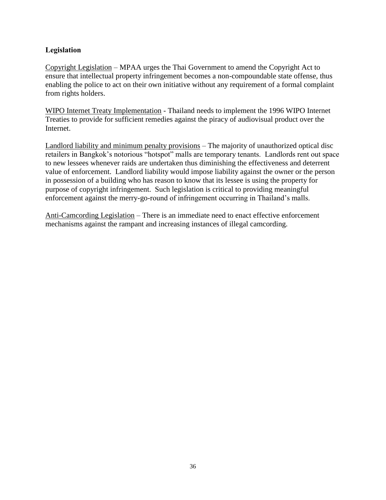#### **Legislation**

Copyright Legislation – MPAA urges the Thai Government to amend the Copyright Act to ensure that intellectual property infringement becomes a non-compoundable state offense, thus enabling the police to act on their own initiative without any requirement of a formal complaint from rights holders.

WIPO Internet Treaty Implementation - Thailand needs to implement the 1996 WIPO Internet Treaties to provide for sufficient remedies against the piracy of audiovisual product over the Internet.

Landlord liability and minimum penalty provisions – The majority of unauthorized optical disc retailers in Bangkok's notorious "hotspot" malls are temporary tenants. Landlords rent out space to new lessees whenever raids are undertaken thus diminishing the effectiveness and deterrent value of enforcement. Landlord liability would impose liability against the owner or the person in possession of a building who has reason to know that its lessee is using the property for purpose of copyright infringement. Such legislation is critical to providing meaningful enforcement against the merry-go-round of infringement occurring in Thailand's malls.

Anti-Camcording Legislation – There is an immediate need to enact effective enforcement mechanisms against the rampant and increasing instances of illegal camcording.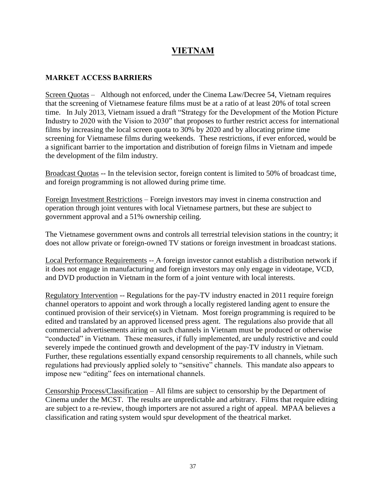# **VIETNAM**

#### **MARKET ACCESS BARRIERS**

Screen Quotas – Although not enforced, under the Cinema Law/Decree 54, Vietnam requires that the screening of Vietnamese feature films must be at a ratio of at least 20% of total screen time. In July 2013, Vietnam issued a draft "Strategy for the Development of the Motion Picture Industry to 2020 with the Vision to 2030" that proposes to further restrict access for international films by increasing the local screen quota to 30% by 2020 and by allocating prime time screening for Vietnamese films during weekends. These restrictions, if ever enforced, would be a significant barrier to the importation and distribution of foreign films in Vietnam and impede the development of the film industry.

Broadcast Quotas -- In the television sector, foreign content is limited to 50% of broadcast time, and foreign programming is not allowed during prime time.

Foreign Investment Restrictions – Foreign investors may invest in cinema construction and operation through joint ventures with local Vietnamese partners, but these are subject to government approval and a 51% ownership ceiling.

The Vietnamese government owns and controls all terrestrial television stations in the country; it does not allow private or foreign-owned TV stations or foreign investment in broadcast stations.

Local Performance Requirements -- A foreign investor cannot establish a distribution network if it does not engage in manufacturing and foreign investors may only engage in videotape, VCD, and DVD production in Vietnam in the form of a joint venture with local interests.

Regulatory Intervention -- Regulations for the pay-TV industry enacted in 2011 require foreign channel operators to appoint and work through a locally registered landing agent to ensure the continued provision of their service(s) in Vietnam. Most foreign programming is required to be edited and translated by an approved licensed press agent. The regulations also provide that all commercial advertisements airing on such channels in Vietnam must be produced or otherwise "conducted" in Vietnam. These measures, if fully implemented, are unduly restrictive and could severely impede the continued growth and development of the pay-TV industry in Vietnam. Further, these regulations essentially expand censorship requirements to all channels, while such regulations had previously applied solely to "sensitive" channels. This mandate also appears to impose new "editing" fees on international channels.

Censorship Process/Classification – All films are subject to censorship by the Department of Cinema under the MCST. The results are unpredictable and arbitrary. Films that require editing are subject to a re-review, though importers are not assured a right of appeal. MPAA believes a classification and rating system would spur development of the theatrical market.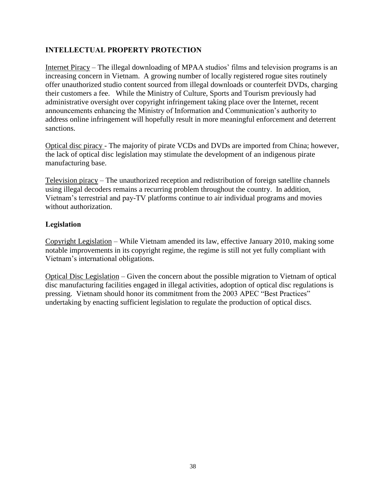### **INTELLECTUAL PROPERTY PROTECTION**

Internet Piracy – The illegal downloading of MPAA studios' films and television programs is an increasing concern in Vietnam. A growing number of locally registered rogue sites routinely offer unauthorized studio content sourced from illegal downloads or counterfeit DVDs, charging their customers a fee. While the Ministry of Culture, Sports and Tourism previously had administrative oversight over copyright infringement taking place over the Internet, recent announcements enhancing the Ministry of Information and Communication's authority to address online infringement will hopefully result in more meaningful enforcement and deterrent sanctions.

Optical disc piracy - The majority of pirate VCDs and DVDs are imported from China; however, the lack of optical disc legislation may stimulate the development of an indigenous pirate manufacturing base.

Television piracy – The unauthorized reception and redistribution of foreign satellite channels using illegal decoders remains a recurring problem throughout the country. In addition, Vietnam's terrestrial and pay-TV platforms continue to air individual programs and movies without authorization.

#### **Legislation**

Copyright Legislation – While Vietnam amended its law, effective January 2010, making some notable improvements in its copyright regime, the regime is still not yet fully compliant with Vietnam's international obligations.

Optical Disc Legislation – Given the concern about the possible migration to Vietnam of optical disc manufacturing facilities engaged in illegal activities, adoption of optical disc regulations is pressing. Vietnam should honor its commitment from the 2003 APEC "Best Practices" undertaking by enacting sufficient legislation to regulate the production of optical discs.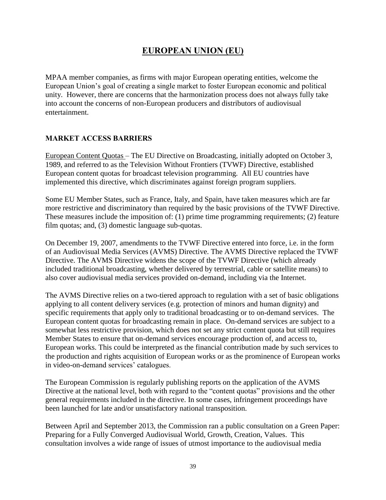# **EUROPEAN UNION (EU)**

MPAA member companies, as firms with major European operating entities, welcome the European Union's goal of creating a single market to foster European economic and political unity. However, there are concerns that the harmonization process does not always fully take into account the concerns of non-European producers and distributors of audiovisual entertainment.

#### **MARKET ACCESS BARRIERS**

European Content Quotas – The EU Directive on Broadcasting, initially adopted on October 3, 1989, and referred to as the Television Without Frontiers (TVWF) Directive, established European content quotas for broadcast television programming. All EU countries have implemented this directive, which discriminates against foreign program suppliers.

Some EU Member States, such as France, Italy, and Spain, have taken measures which are far more restrictive and discriminatory than required by the basic provisions of the TVWF Directive. These measures include the imposition of: (1) prime time programming requirements; (2) feature film quotas; and, (3) domestic language sub-quotas.

On December 19, 2007, amendments to the TVWF Directive entered into force, i.e. in the form of an Audiovisual Media Services (AVMS) Directive. The AVMS Directive replaced the TVWF Directive. The AVMS Directive widens the scope of the TVWF Directive (which already included traditional broadcasting, whether delivered by terrestrial, cable or satellite means) to also cover audiovisual media services provided on-demand, including via the Internet.

The AVMS Directive relies on a two-tiered approach to regulation with a set of basic obligations applying to all content delivery services (e.g. protection of minors and human dignity) and specific requirements that apply only to traditional broadcasting or to on-demand services. The European content quotas for broadcasting remain in place. On-demand services are subject to a somewhat less restrictive provision, which does not set any strict content quota but still requires Member States to ensure that on-demand services encourage production of, and access to, European works. This could be interpreted as the financial contribution made by such services to the production and rights acquisition of European works or as the prominence of European works in video-on-demand services' catalogues.

The European Commission is regularly publishing reports on the application of the AVMS Directive at the national level, both with regard to the "content quotas" provisions and the other general requirements included in the directive. In some cases, infringement proceedings have been launched for late and/or unsatisfactory national transposition.

Between April and September 2013, the Commission ran a public consultation on a Green Paper: Preparing for a Fully Converged Audiovisual World, Growth, Creation, Values. This consultation involves a wide range of issues of utmost importance to the audiovisual media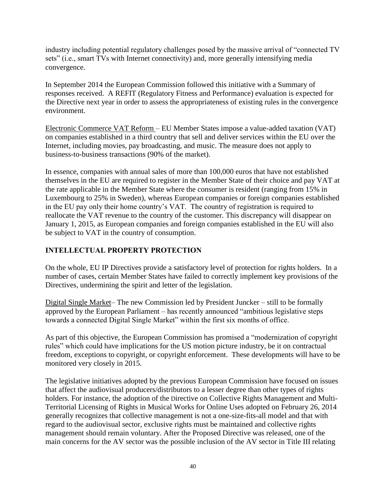industry including potential regulatory challenges posed by the massive arrival of "connected TV sets" (i.e., smart TVs with Internet connectivity) and, more generally intensifying media convergence.

In September 2014 the European Commission followed this initiative with a Summary of responses received. A REFIT (Regulatory Fitness and Performance) evaluation is expected for the Directive next year in order to assess the appropriateness of existing rules in the convergence environment.

Electronic Commerce VAT Reform – EU Member States impose a value-added taxation (VAT) on companies established in a third country that sell and deliver services within the EU over the Internet, including movies, pay broadcasting, and music. The measure does not apply to business-to-business transactions (90% of the market).

In essence, companies with annual sales of more than 100,000 euros that have not established themselves in the EU are required to register in the Member State of their choice and pay VAT at the rate applicable in the Member State where the consumer is resident (ranging from 15% in Luxembourg to 25% in Sweden), whereas European companies or foreign companies established in the EU pay only their home country's VAT. The country of registration is required to reallocate the VAT revenue to the country of the customer. This discrepancy will disappear on January 1, 2015, as European companies and foreign companies established in the EU will also be subject to VAT in the country of consumption.

### **INTELLECTUAL PROPERTY PROTECTION**

On the whole, EU IP Directives provide a satisfactory level of protection for rights holders. In a number of cases, certain Member States have failed to correctly implement key provisions of the Directives, undermining the spirit and letter of the legislation.

Digital Single Market– The new Commission led by President Juncker – still to be formally approved by the European Parliament – has recently announced "ambitious legislative steps towards a connected Digital Single Market" within the first six months of office.

As part of this objective, the European Commission has promised a "modernization of copyright rules" which could have implications for the US motion picture industry, be it on contractual freedom, exceptions to copyright, or copyright enforcement. These developments will have to be monitored very closely in 2015.

The legislative initiatives adopted by the previous European Commission have focused on issues that affect the audiovisual producers/distributors to a lesser degree than other types of rights holders. For instance, the adoption of the Directive on Collective Rights Management and Multi-Territorial Licensing of Rights in Musical Works for Online Uses adopted on February 26, 2014 generally recognizes that collective management is not a one-size-fits-all model and that with regard to the audiovisual sector, exclusive rights must be maintained and collective rights management should remain voluntary. After the Proposed Directive was released, one of the main concerns for the AV sector was the possible inclusion of the AV sector in Title III relating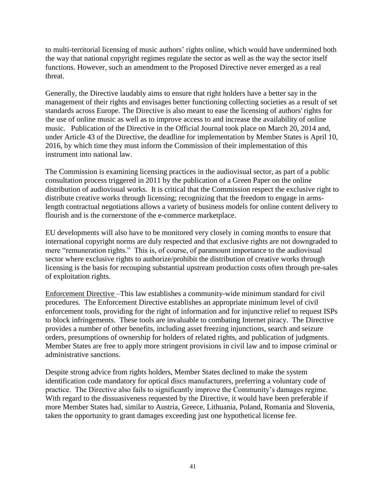to multi-territorial licensing of music authors' rights online, which would have undermined both the way that national copyright regimes regulate the sector as well as the way the sector itself functions. However, such an amendment to the Proposed Directive never emerged as a real threat.

Generally, the Directive laudably aims to ensure that right holders have a better say in the management of their rights and envisages better functioning collecting societies as a result of set standards across Europe. The Directive is also meant to ease the licensing of authors' rights for the use of online music as well as to improve access to and increase the availability of online music. Publication of the Directive in the Official Journal took place on March 20, 2014 and, under Article 43 of the Directive, the deadline for implementation by Member States is April 10, 2016, by which time they must inform the Commission of their implementation of this instrument into national law.

The Commission is examining licensing practices in the audiovisual sector, as part of a public consultation process triggered in 2011 by the publication of a Green Paper on the online distribution of audiovisual works. It is critical that the Commission respect the exclusive right to distribute creative works through licensing; recognizing that the freedom to engage in armslength contractual negotiations allows a variety of business models for online content delivery to flourish and is the cornerstone of the e-commerce marketplace.

EU developments will also have to be monitored very closely in coming months to ensure that international copyright norms are duly respected and that exclusive rights are not downgraded to mere "remuneration rights." This is, of course, of paramount importance to the audiovisual sector where exclusive rights to authorize/prohibit the distribution of creative works through licensing is the basis for recouping substantial upstream production costs often through pre-sales of exploitation rights.

Enforcement Directive –This law establishes a community-wide minimum standard for civil procedures. The Enforcement Directive establishes an appropriate minimum level of civil enforcement tools, providing for the right of information and for injunctive relief to request ISPs to block infringements. These tools are invaluable to combating Internet piracy. The Directive provides a number of other benefits, including asset freezing injunctions, search and seizure orders, presumptions of ownership for holders of related rights, and publication of judgments. Member States are free to apply more stringent provisions in civil law and to impose criminal or administrative sanctions.

Despite strong advice from rights holders, Member States declined to make the system identification code mandatory for optical discs manufacturers, preferring a voluntary code of practice. The Directive also fails to significantly improve the Community's damages regime. With regard to the dissuasiveness requested by the Directive, it would have been preferable if more Member States had, similar to Austria, Greece, Lithuania, Poland, Romania and Slovenia, taken the opportunity to grant damages exceeding just one hypothetical license fee.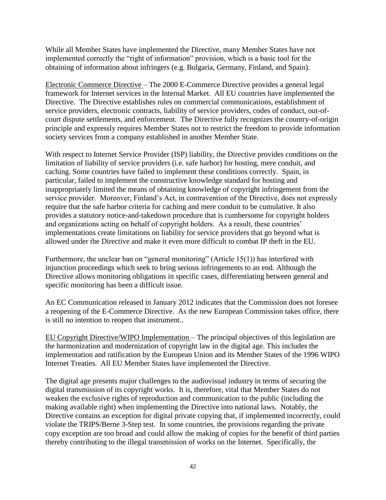While all Member States have implemented the Directive, many Member States have not implemented correctly the "right of information" provision, which is a basic tool for the obtaining of information about infringers (e.g. Bulgaria, Germany, Finland, and Spain).

Electronic Commerce Directive – The 2000 E-Commerce Directive provides a general legal framework for Internet services in the Internal Market. All EU countries have implemented the Directive. The Directive establishes rules on commercial communications, establishment of service providers, electronic contracts, liability of service providers, codes of conduct, out-ofcourt dispute settlements, and enforcement. The Directive fully recognizes the country-of-origin principle and expressly requires Member States not to restrict the freedom to provide information society services from a company established in another Member State.

With respect to Internet Service Provider (ISP) liability, the Directive provides conditions on the limitation of liability of service providers (i.e. safe harbor) for hosting, mere conduit, and caching. Some countries have failed to implement these conditions correctly. Spain, in particular, failed to implement the constructive knowledge standard for hosting and inappropriately limited the means of obtaining knowledge of copyright infringement from the service provider. Moreover, Finland's Act, in contravention of the Directive, does not expressly require that the safe harbor criteria for caching and mere conduit to be cumulative. It also provides a statutory notice-and-takedown procedure that is cumbersome for copyright holders and organizations acting on behalf of copyright holders. As a result, these countries' implementations create limitations on liability for service providers that go beyond what is allowed under the Directive and make it even more difficult to combat IP theft in the EU.

Furthermore, the unclear ban on "general monitoring" (Article 15(1)) has interfered with injunction proceedings which seek to bring serious infringements to an end. Although the Directive allows monitoring obligations in specific cases, differentiating between general and specific monitoring has been a difficult issue.

An EC Communication released in January 2012 indicates that the Commission does not foresee a reopening of the E-Commerce Directive. As the new European Commission takes office, there is still no intention to reopen that instrument..

EU Copyright Directive/WIPO Implementation – The principal objectives of this legislation are the harmonization and modernization of copyright law in the digital age. This includes the implementation and ratification by the European Union and its Member States of the 1996 WIPO Internet Treaties. All EU Member States have implemented the Directive.

The digital age presents major challenges to the audiovisual industry in terms of securing the digital transmission of its copyright works. It is, therefore, vital that Member States do not weaken the exclusive rights of reproduction and communication to the public (including the making available right) when implementing the Directive into national laws. Notably, the Directive contains an exception for digital private copying that, if implemented incorrectly, could violate the TRIPS/Berne 3-Step test. In some countries, the provisions regarding the private copy exception are too broad and could allow the making of copies for the benefit of third parties thereby contributing to the illegal transmission of works on the Internet. Specifically, the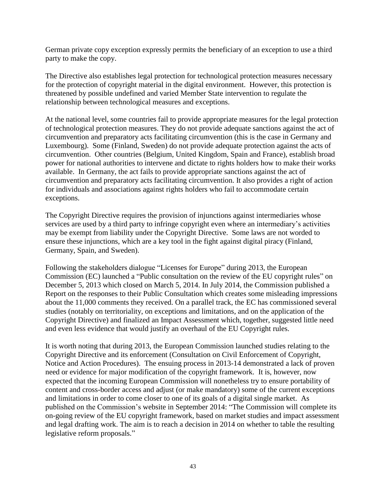German private copy exception expressly permits the beneficiary of an exception to use a third party to make the copy.

The Directive also establishes legal protection for technological protection measures necessary for the protection of copyright material in the digital environment. However, this protection is threatened by possible undefined and varied Member State intervention to regulate the relationship between technological measures and exceptions.

At the national level, some countries fail to provide appropriate measures for the legal protection of technological protection measures. They do not provide adequate sanctions against the act of circumvention and preparatory acts facilitating circumvention (this is the case in Germany and Luxembourg). Some (Finland, Sweden) do not provide adequate protection against the acts of circumvention. Other countries (Belgium, United Kingdom, Spain and France), establish broad power for national authorities to intervene and dictate to rights holders how to make their works available. In Germany, the act fails to provide appropriate sanctions against the act of circumvention and preparatory acts facilitating circumvention. It also provides a right of action for individuals and associations against rights holders who fail to accommodate certain exceptions.

The Copyright Directive requires the provision of injunctions against intermediaries whose services are used by a third party to infringe copyright even where an intermediary's activities may be exempt from liability under the Copyright Directive. Some laws are not worded to ensure these injunctions, which are a key tool in the fight against digital piracy (Finland, Germany, Spain, and Sweden).

Following the stakeholders dialogue "Licenses for Europe" during 2013, the European Commission (EC) launched a "Public consultation on the review of the EU copyright rules" on December 5, 2013 which closed on March 5, 2014. In July 2014, the Commission published a Report on the responses to their Public Consultation which creates some misleading impressions about the 11,000 comments they received. On a parallel track, the EC has commissioned several studies (notably on territoriality, on exceptions and limitations, and on the application of the Copyright Directive) and finalized an Impact Assessment which, together, suggested little need and even less evidence that would justify an overhaul of the EU Copyright rules.

It is worth noting that during 2013, the European Commission launched studies relating to the Copyright Directive and its enforcement (Consultation on Civil Enforcement of Copyright, Notice and Action Procedures). The ensuing process in 2013-14 demonstrated a lack of proven need or evidence for major modification of the copyright framework. It is, however, now expected that the incoming European Commission will nonetheless try to ensure portability of content and cross-border access and adjust (or make mandatory) some of the current exceptions and limitations in order to come closer to one of its goals of a digital single market. As published on the Commission's website in September 2014: "The Commission will complete its on-going review of the EU copyright framework, based on market studies and impact assessment and legal drafting work. The aim is to reach a decision in 2014 on whether to table the resulting legislative reform proposals."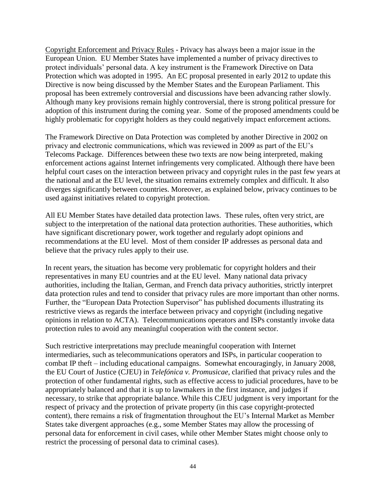Copyright Enforcement and Privacy Rules - Privacy has always been a major issue in the European Union. EU Member States have implemented a number of privacy directives to protect individuals' personal data. A key instrument is the Framework Directive on Data Protection which was adopted in 1995. An EC proposal presented in early 2012 to update this Directive is now being discussed by the Member States and the European Parliament. This proposal has been extremely controversial and discussions have been advancing rather slowly. Although many key provisions remain highly controversial, there is strong political pressure for adoption of this instrument during the coming year. Some of the proposed amendments could be highly problematic for copyright holders as they could negatively impact enforcement actions.

The Framework Directive on Data Protection was completed by another Directive in 2002 on privacy and electronic communications, which was reviewed in 2009 as part of the EU's Telecoms Package. Differences between these two texts are now being interpreted, making enforcement actions against Internet infringements very complicated. Although there have been helpful court cases on the interaction between privacy and copyright rules in the past few years at the national and at the EU level, the situation remains extremely complex and difficult. It also diverges significantly between countries. Moreover, as explained below, privacy continues to be used against initiatives related to copyright protection.

All EU Member States have detailed data protection laws. These rules, often very strict, are subject to the interpretation of the national data protection authorities. These authorities, which have significant discretionary power, work together and regularly adopt opinions and recommendations at the EU level. Most of them consider IP addresses as personal data and believe that the privacy rules apply to their use.

In recent years, the situation has become very problematic for copyright holders and their representatives in many EU countries and at the EU level. Many national data privacy authorities, including the Italian, German, and French data privacy authorities, strictly interpret data protection rules and tend to consider that privacy rules are more important than other norms. Further, the "European Data Protection Supervisor" has published documents illustrating its restrictive views as regards the interface between privacy and copyright (including negative opinions in relation to ACTA). Telecommunications operators and ISPs constantly invoke data protection rules to avoid any meaningful cooperation with the content sector.

Such restrictive interpretations may preclude meaningful cooperation with Internet intermediaries, such as telecommunications operators and ISPs, in particular cooperation to combat IP theft – including educational campaigns. Somewhat encouragingly, in January 2008, the EU Court of Justice (CJEU) in *Telefónica v. Promusicae*, clarified that privacy rules and the protection of other fundamental rights, such as effective access to judicial procedures, have to be appropriately balanced and that it is up to lawmakers in the first instance, and judges if necessary, to strike that appropriate balance. While this CJEU judgment is very important for the respect of privacy and the protection of private property (in this case copyright-protected content), there remains a risk of fragmentation throughout the EU's Internal Market as Member States take divergent approaches (e.g., some Member States may allow the processing of personal data for enforcement in civil cases, while other Member States might choose only to restrict the processing of personal data to criminal cases).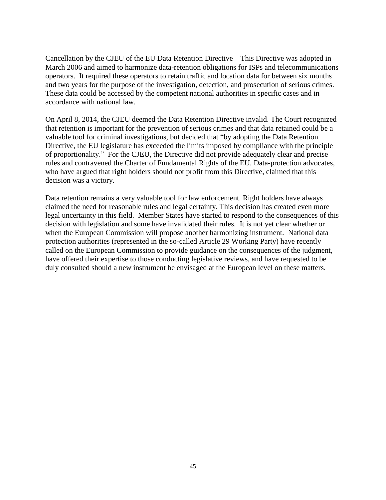Cancellation by the CJEU of the EU Data Retention Directive – This Directive was adopted in March 2006 and aimed to harmonize data-retention obligations for ISPs and telecommunications operators. It required these operators to retain traffic and location data for between six months and two years for the purpose of the investigation, detection, and prosecution of serious crimes. These data could be accessed by the competent national authorities in specific cases and in accordance with national law.

On April 8, 2014, the CJEU deemed the Data Retention Directive invalid. The Court recognized that retention is important for the prevention of serious crimes and that data retained could be a valuable tool for criminal investigations, but decided that "by adopting the Data Retention Directive, the EU legislature has exceeded the limits imposed by compliance with the principle of proportionality." For the CJEU, the Directive did not provide adequately clear and precise rules and contravened the Charter of Fundamental Rights of the EU. Data-protection advocates, who have argued that right holders should not profit from this Directive, claimed that this decision was a victory.

Data retention remains a very valuable tool for law enforcement. Right holders have always claimed the need for reasonable rules and legal certainty. This decision has created even more legal uncertainty in this field. Member States have started to respond to the consequences of this decision with legislation and some have invalidated their rules. It is not yet clear whether or when the European Commission will propose another harmonizing instrument. National data protection authorities (represented in the so-called Article 29 Working Party) have recently called on the European Commission to provide guidance on the consequences of the judgment, have offered their expertise to those conducting legislative reviews, and have requested to be duly consulted should a new instrument be envisaged at the European level on these matters.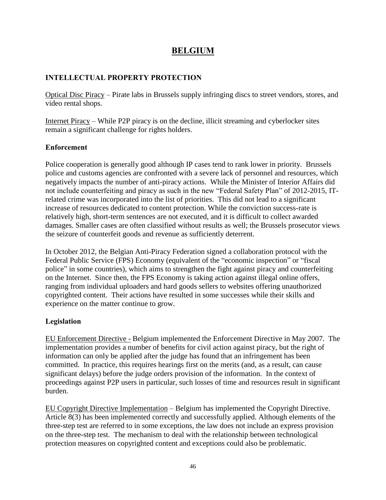### **BELGIUM**

#### **INTELLECTUAL PROPERTY PROTECTION**

Optical Disc Piracy – Pirate labs in Brussels supply infringing discs to street vendors, stores, and video rental shops.

Internet Piracy – While P2P piracy is on the decline, illicit streaming and cyberlocker sites remain a significant challenge for rights holders.

#### **Enforcement**

Police cooperation is generally good although IP cases tend to rank lower in priority. Brussels police and customs agencies are confronted with a severe lack of personnel and resources, which negatively impacts the number of anti-piracy actions. While the Minister of Interior Affairs did not include counterfeiting and piracy as such in the new "Federal Safety Plan" of 2012-2015, ITrelated crime was incorporated into the list of priorities. This did not lead to a significant increase of resources dedicated to content protection. While the conviction success-rate is relatively high, short-term sentences are not executed, and it is difficult to collect awarded damages. Smaller cases are often classified without results as well; the Brussels prosecutor views the seizure of counterfeit goods and revenue as sufficiently deterrent.

In October 2012, the Belgian Anti-Piracy Federation signed a collaboration protocol with the Federal Public Service (FPS) Economy (equivalent of the "economic inspection" or "fiscal police" in some countries), which aims to strengthen the fight against piracy and counterfeiting on the Internet. Since then, the FPS Economy is taking action against illegal online offers, ranging from individual uploaders and hard goods sellers to websites offering unauthorized copyrighted content. Their actions have resulted in some successes while their skills and experience on the matter continue to grow.

#### **Legislation**

EU Enforcement Directive - Belgium implemented the Enforcement Directive in May 2007. The implementation provides a number of benefits for civil action against piracy, but the right of information can only be applied after the judge has found that an infringement has been committed. In practice, this requires hearings first on the merits (and, as a result, can cause significant delays) before the judge orders provision of the information. In the context of proceedings against P2P users in particular, such losses of time and resources result in significant burden.

EU Copyright Directive Implementation – Belgium has implemented the Copyright Directive. Article 8(3) has been implemented correctly and successfully applied. Although elements of the three-step test are referred to in some exceptions, the law does not include an express provision on the three-step test. The mechanism to deal with the relationship between technological protection measures on copyrighted content and exceptions could also be problematic.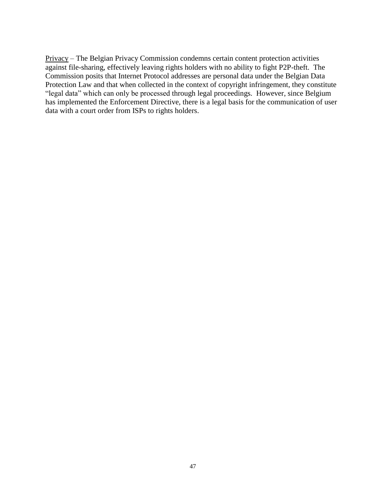Privacy – The Belgian Privacy Commission condemns certain content protection activities against file-sharing, effectively leaving rights holders with no ability to fight P2P-theft. The Commission posits that Internet Protocol addresses are personal data under the Belgian Data Protection Law and that when collected in the context of copyright infringement, they constitute "legal data" which can only be processed through legal proceedings. However, since Belgium has implemented the Enforcement Directive, there is a legal basis for the communication of user data with a court order from ISPs to rights holders.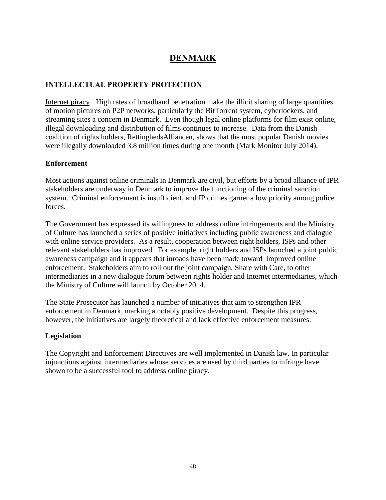# **DENMARK**

### **INTELLECTUAL PROPERTY PROTECTION**

Internet piracy **–** High rates of broadband penetration make the illicit sharing of large quantities of motion pictures on P2P networks, particularly the BitTorrent system, cyberlockers, and streaming sites a concern in Denmark. Even though legal online platforms for film exist online, illegal downloading and distribution of films continues to increase. Data from the Danish coalition of rights holders, RettinghedsAlliancen, shows that the most popular Danish movies were illegally downloaded 3.8 million times during one month (Mark Monitor July 2014).

#### **Enforcement**

Most actions against online criminals in Denmark are civil, but efforts by a broad alliance of IPR stakeholders are underway in Denmark to improve the functioning of the criminal sanction system. Criminal enforcement is insufficient, and IP crimes garner a low priority among police forces.

The Government has expressed its willingness to address online infringements and the Ministry of Culture has launched a series of positive initiatives including public awareness and dialogue with online service providers. As a result, cooperation between right holders, ISPs and other relevant stakeholders has improved. For example, right holders and ISPs launched a joint public awareness campaign and it appears that inroads have been made toward improved online enforcement. Stakeholders aim to roll out the joint campaign, Share with Care, to other intermediaries in a new dialogue forum between rights holder and Internet intermediaries, which the Ministry of Culture will launch by October 2014.

The State Prosecutor has launched a number of initiatives that aim to strengthen IPR enforcement in Denmark, marking a notably positive development. Despite this progress, however, the initiatives are largely theoretical and lack effective enforcement measures.

#### **Legislation**

The Copyright and Enforcement Directives are well implemented in Danish law. In particular injunctions against intermediaries whose services are used by third parties to infringe have shown to be a successful tool to address online piracy.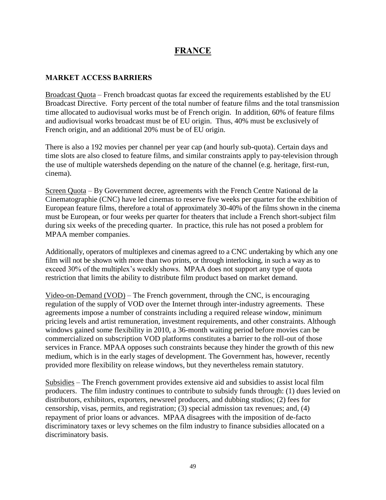### **FRANCE**

#### **MARKET ACCESS BARRIERS**

Broadcast Quota – French broadcast quotas far exceed the requirements established by the EU Broadcast Directive. Forty percent of the total number of feature films and the total transmission time allocated to audiovisual works must be of French origin. In addition, 60% of feature films and audiovisual works broadcast must be of EU origin. Thus, 40% must be exclusively of French origin, and an additional 20% must be of EU origin.

There is also a 192 movies per channel per year cap (and hourly sub-quota). Certain days and time slots are also closed to feature films, and similar constraints apply to pay-television through the use of multiple watersheds depending on the nature of the channel (e.g. heritage, first-run, cinema).

Screen Quota – By Government decree, agreements with the French Centre National de la Cinematographie (CNC) have led cinemas to reserve five weeks per quarter for the exhibition of European feature films, therefore a total of approximately 30-40% of the films shown in the cinema must be European, or four weeks per quarter for theaters that include a French short-subject film during six weeks of the preceding quarter. In practice, this rule has not posed a problem for MPAA member companies.

Additionally, operators of multiplexes and cinemas agreed to a CNC undertaking by which any one film will not be shown with more than two prints, or through interlocking, in such a way as to exceed 30% of the multiplex's weekly shows. MPAA does not support any type of quota restriction that limits the ability to distribute film product based on market demand.

Video-on-Demand (VOD) – The French government, through the CNC, is encouraging regulation of the supply of VOD over the Internet through inter-industry agreements. These agreements impose a number of constraints including a required release window, minimum pricing levels and artist remuneration, investment requirements, and other constraints. Although windows gained some flexibility in 2010, a 36-month waiting period before movies can be commercialized on subscription VOD platforms constitutes a barrier to the roll-out of those services in France. MPAA opposes such constraints because they hinder the growth of this new medium, which is in the early stages of development. The Government has, however, recently provided more flexibility on release windows, but they nevertheless remain statutory.

Subsidies – The French government provides extensive aid and subsidies to assist local film producers. The film industry continues to contribute to subsidy funds through: (1) dues levied on distributors, exhibitors, exporters, newsreel producers, and dubbing studios; (2) fees for censorship, visas, permits, and registration; (3) special admission tax revenues; and, (4) repayment of prior loans or advances. MPAA disagrees with the imposition of de-facto discriminatory taxes or levy schemes on the film industry to finance subsidies allocated on a discriminatory basis.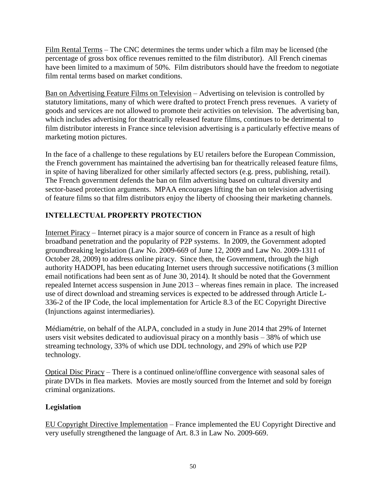Film Rental Terms – The CNC determines the terms under which a film may be licensed (the percentage of gross box office revenues remitted to the film distributor). All French cinemas have been limited to a maximum of 50%. Film distributors should have the freedom to negotiate film rental terms based on market conditions.

Ban on Advertising Feature Films on Television – Advertising on television is controlled by statutory limitations, many of which were drafted to protect French press revenues. A variety of goods and services are not allowed to promote their activities on television. The advertising ban, which includes advertising for theatrically released feature films, continues to be detrimental to film distributor interests in France since television advertising is a particularly effective means of marketing motion pictures.

In the face of a challenge to these regulations by EU retailers before the European Commission, the French government has maintained the advertising ban for theatrically released feature films, in spite of having liberalized for other similarly affected sectors (e.g. press, publishing, retail). The French government defends the ban on film advertising based on cultural diversity and sector-based protection arguments. MPAA encourages lifting the ban on television advertising of feature films so that film distributors enjoy the liberty of choosing their marketing channels.

### **INTELLECTUAL PROPERTY PROTECTION**

Internet Piracy – Internet piracy is a major source of concern in France as a result of high broadband penetration and the popularity of P2P systems. In 2009, the Government adopted groundbreaking legislation (Law No. 2009-669 of June 12, 2009 and Law No. 2009-1311 of October 28, 2009) to address online piracy. Since then, the Government, through the high authority HADOPI, has been educating Internet users through successive notifications (3 million email notifications had been sent as of June 30, 2014). It should be noted that the Government repealed Internet access suspension in June 2013 – whereas fines remain in place. The increased use of direct download and streaming services is expected to be addressed through Article L-336-2 of the IP Code, the local implementation for Article 8.3 of the EC Copyright Directive (Injunctions against intermediaries).

Médiamétrie, on behalf of the ALPA, concluded in a study in June 2014 that 29% of Internet users visit websites dedicated to audiovisual piracy on a monthly basis – 38% of which use streaming technology, 33% of which use DDL technology, and 29% of which use P2P technology.

Optical Disc Piracy – There is a continued online/offline convergence with seasonal sales of pirate DVDs in flea markets. Movies are mostly sourced from the Internet and sold by foreign criminal organizations.

#### **Legislation**

EU Copyright Directive Implementation – France implemented the EU Copyright Directive and very usefully strengthened the language of Art. 8.3 in Law No. 2009-669.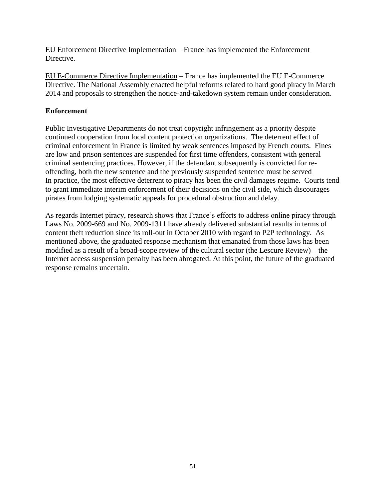EU Enforcement Directive Implementation – France has implemented the Enforcement Directive.

EU E-Commerce Directive Implementation – France has implemented the EU E-Commerce Directive. The National Assembly enacted helpful reforms related to hard good piracy in March 2014 and proposals to strengthen the notice-and-takedown system remain under consideration.

#### **Enforcement**

Public Investigative Departments do not treat copyright infringement as a priority despite continued cooperation from local content protection organizations. The deterrent effect of criminal enforcement in France is limited by weak sentences imposed by French courts. Fines are low and prison sentences are suspended for first time offenders, consistent with general criminal sentencing practices. However, if the defendant subsequently is convicted for reoffending, both the new sentence and the previously suspended sentence must be served In practice, the most effective deterrent to piracy has been the civil damages regime. Courts tend to grant immediate interim enforcement of their decisions on the civil side, which discourages pirates from lodging systematic appeals for procedural obstruction and delay.

As regards Internet piracy, research shows that France's efforts to address online piracy through Laws No. 2009-669 and No. 2009-1311 have already delivered substantial results in terms of content theft reduction since its roll-out in October 2010 with regard to P2P technology. As mentioned above, the graduated response mechanism that emanated from those laws has been modified as a result of a broad-scope review of the cultural sector (the Lescure Review) – the Internet access suspension penalty has been abrogated. At this point, the future of the graduated response remains uncertain.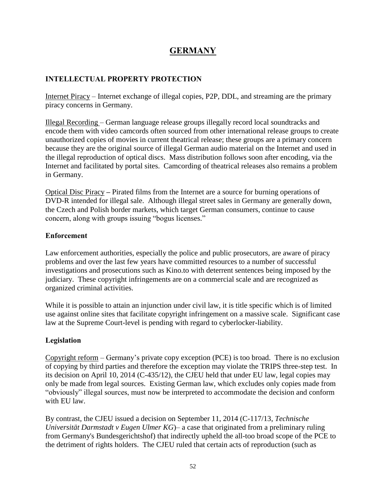# **GERMANY**

#### **INTELLECTUAL PROPERTY PROTECTION**

Internet Piracy – Internet exchange of illegal copies, P2P, DDL, and streaming are the primary piracy concerns in Germany.

Illegal Recording – German language release groups illegally record local soundtracks and encode them with video camcords often sourced from other international release groups to create unauthorized copies of movies in current theatrical release; these groups are a primary concern because they are the original source of illegal German audio material on the Internet and used in the illegal reproduction of optical discs. Mass distribution follows soon after encoding, via the Internet and facilitated by portal sites. Camcording of theatrical releases also remains a problem in Germany.

Optical Disc Piracy **–** Pirated films from the Internet are a source for burning operations of DVD-R intended for illegal sale. Although illegal street sales in Germany are generally down, the Czech and Polish border markets, which target German consumers, continue to cause concern, along with groups issuing "bogus licenses."

#### **Enforcement**

Law enforcement authorities, especially the police and public prosecutors, are aware of piracy problems and over the last few years have committed resources to a number of successful investigations and prosecutions such as Kino.to with deterrent sentences being imposed by the judiciary. These copyright infringements are on a commercial scale and are recognized as organized criminal activities.

While it is possible to attain an injunction under civil law, it is title specific which is of limited use against online sites that facilitate copyright infringement on a massive scale. Significant case law at the Supreme Court-level is pending with regard to cyberlocker-liability.

#### **Legislation**

Copyright reform – Germany's private copy exception (PCE) is too broad. There is no exclusion of copying by third parties and therefore the exception may violate the TRIPS three-step test. In its decision on April 10, 2014 (C-435/12), the CJEU held that under EU law, legal copies may only be made from legal sources. Existing German law, which excludes only copies made from "obviously" illegal sources, must now be interpreted to accommodate the decision and conform with EU law.

By contrast, the CJEU issued a decision on September 11, 2014 (C-117/13, *Technische Universität Darmstadt v Eugen Ulmer KG*)– a case that originated from a preliminary ruling from Germany's Bundesgerichtshof) that indirectly upheld the all-too broad scope of the PCE to the detriment of rights holders. The CJEU ruled that certain acts of reproduction (such as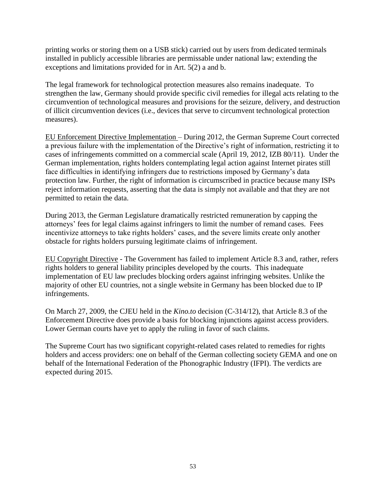printing works or storing them on a USB stick) carried out by users from dedicated terminals installed in publicly accessible libraries are permissable under national law; extending the exceptions and limitations provided for in Art. 5(2) a and b.

The legal framework for technological protection measures also remains inadequate. To strengthen the law, Germany should provide specific civil remedies for illegal acts relating to the circumvention of technological measures and provisions for the seizure, delivery, and destruction of illicit circumvention devices (i.e., devices that serve to circumvent technological protection measures).

EU Enforcement Directive Implementation – During 2012, the German Supreme Court corrected a previous failure with the implementation of the Directive's right of information, restricting it to cases of infringements committed on a commercial scale (April 19, 2012, IZB 80/11). Under the German implementation, rights holders contemplating legal action against Internet pirates still face difficulties in identifying infringers due to restrictions imposed by Germany's data protection law. Further, the right of information is circumscribed in practice because many ISPs reject information requests, asserting that the data is simply not available and that they are not permitted to retain the data.

During 2013, the German Legislature dramatically restricted remuneration by capping the attorneys' fees for legal claims against infringers to limit the number of remand cases. Fees incentivize attorneys to take rights holders' cases, and the severe limits create only another obstacle for rights holders pursuing legitimate claims of infringement.

EU Copyright Directive - The Government has failed to implement Article 8.3 and, rather, refers rights holders to general liability principles developed by the courts. This inadequate implementation of EU law precludes blocking orders against infringing websites. Unlike the majority of other EU countries, not a single website in Germany has been blocked due to IP infringements.

On March 27, 2009, the CJEU held in the *Kino.to* decision (C-314/12), that Article 8.3 of the Enforcement Directive does provide a basis for blocking injunctions against access providers. Lower German courts have yet to apply the ruling in favor of such claims.

The Supreme Court has two significant copyright-related cases related to remedies for rights holders and access providers: one on behalf of the German collecting society GEMA and one on behalf of the International Federation of the Phonographic Industry (IFPI). The verdicts are expected during 2015.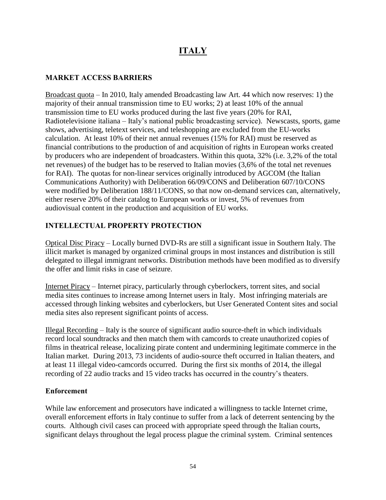# **ITALY**

#### **MARKET ACCESS BARRIERS**

Broadcast quota – In 2010, Italy amended Broadcasting law Art. 44 which now reserves: 1) the majority of their annual transmission time to EU works; 2) at least 10% of the annual transmission time to EU works produced during the last five years (20% for RAI, Radiotelevisione italiana – Italy's national public broadcasting service). Newscasts, sports, game shows, advertising, teletext services, and teleshopping are excluded from the EU-works calculation. At least 10% of their net annual revenues (15% for RAI) must be reserved as financial contributions to the production of and acquisition of rights in European works created by producers who are independent of broadcasters. Within this quota, 32% (i.e. 3,2% of the total net revenues) of the budget has to be reserved to Italian movies (3,6% of the total net revenues for RAI). The quotas for non-linear services originally introduced by AGCOM (the Italian Communications Authority) with Deliberation 66/09/CONS and Deliberation 607/10/CONS were modified by Deliberation 188/11/CONS, so that now on-demand services can, alternatively, either reserve 20% of their catalog to European works or invest, 5% of revenues from audiovisual content in the production and acquisition of EU works.

#### **INTELLECTUAL PROPERTY PROTECTION**

Optical Disc Piracy – Locally burned DVD-Rs are still a significant issue in Southern Italy. The illicit market is managed by organized criminal groups in most instances and distribution is still delegated to illegal immigrant networks. Distribution methods have been modified as to diversify the offer and limit risks in case of seizure.

Internet Piracy – Internet piracy, particularly through cyberlockers, torrent sites, and social media sites continues to increase among Internet users in Italy. Most infringing materials are accessed through linking websites and cyberlockers, but User Generated Content sites and social media sites also represent significant points of access.

Illegal Recording – Italy is the source of significant audio source-theft in which individuals record local soundtracks and then match them with camcords to create unauthorized copies of films in theatrical release, localizing pirate content and undermining legitimate commerce in the Italian market. During 2013, 73 incidents of audio-source theft occurred in Italian theaters, and at least 11 illegal video-camcords occurred. During the first six months of 2014, the illegal recording of 22 audio tracks and 15 video tracks has occurred in the country's theaters.

#### **Enforcement**

While law enforcement and prosecutors have indicated a willingness to tackle Internet crime, overall enforcement efforts in Italy continue to suffer from a lack of deterrent sentencing by the courts. Although civil cases can proceed with appropriate speed through the Italian courts, significant delays throughout the legal process plague the criminal system. Criminal sentences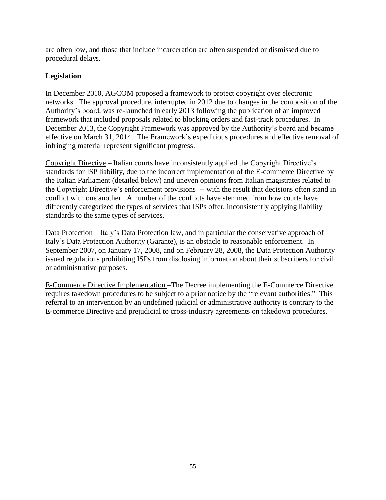are often low, and those that include incarceration are often suspended or dismissed due to procedural delays.

#### **Legislation**

In December 2010, AGCOM proposed a framework to protect copyright over electronic networks. The approval procedure, interrupted in 2012 due to changes in the composition of the Authority's board, was re-launched in early 2013 following the publication of an improved framework that included proposals related to blocking orders and fast-track procedures. In December 2013, the Copyright Framework was approved by the Authority's board and became effective on March 31, 2014. The Framework's expeditious procedures and effective removal of infringing material represent significant progress.

Copyright Directive – Italian courts have inconsistently applied the Copyright Directive's standards for ISP liability, due to the incorrect implementation of the E-commerce Directive by the Italian Parliament (detailed below) and uneven opinions from Italian magistrates related to the Copyright Directive's enforcement provisions -- with the result that decisions often stand in conflict with one another. A number of the conflicts have stemmed from how courts have differently categorized the types of services that ISPs offer, inconsistently applying liability standards to the same types of services.

Data Protection – Italy's Data Protection law, and in particular the conservative approach of Italy's Data Protection Authority (Garante), is an obstacle to reasonable enforcement. In September 2007, on January 17, 2008, and on February 28, 2008, the Data Protection Authority issued regulations prohibiting ISPs from disclosing information about their subscribers for civil or administrative purposes.

E-Commerce Directive Implementation –The Decree implementing the E-Commerce Directive requires takedown procedures to be subject to a prior notice by the "relevant authorities." This referral to an intervention by an undefined judicial or administrative authority is contrary to the E-commerce Directive and prejudicial to cross-industry agreements on takedown procedures.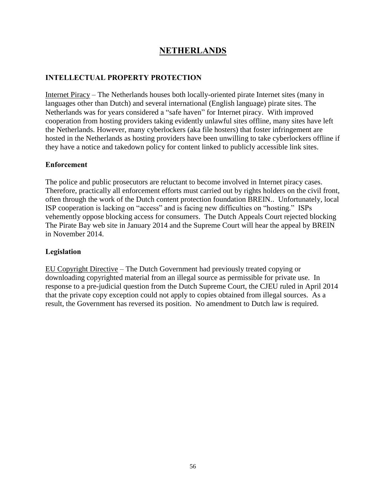## **NETHERLANDS**

### **INTELLECTUAL PROPERTY PROTECTION**

Internet Piracy – The Netherlands houses both locally-oriented pirate Internet sites (many in languages other than Dutch) and several international (English language) pirate sites. The Netherlands was for years considered a "safe haven" for Internet piracy. With improved cooperation from hosting providers taking evidently unlawful sites offline, many sites have left the Netherlands. However, many cyberlockers (aka file hosters) that foster infringement are hosted in the Netherlands as hosting providers have been unwilling to take cyberlockers offline if they have a notice and takedown policy for content linked to publicly accessible link sites.

#### **Enforcement**

The police and public prosecutors are reluctant to become involved in Internet piracy cases. Therefore, practically all enforcement efforts must carried out by rights holders on the civil front, often through the work of the Dutch content protection foundation BREIN.. Unfortunately, local ISP cooperation is lacking on "access" and is facing new difficulties on "hosting." ISPs vehemently oppose blocking access for consumers. The Dutch Appeals Court rejected blocking The Pirate Bay web site in January 2014 and the Supreme Court will hear the appeal by BREIN in November 2014.

#### **Legislation**

EU Copyright Directive – The Dutch Government had previously treated copying or downloading copyrighted material from an illegal source as permissible for private use. In response to a pre-judicial question from the Dutch Supreme Court, the CJEU ruled in April 2014 that the private copy exception could not apply to copies obtained from illegal sources. As a result, the Government has reversed its position. No amendment to Dutch law is required.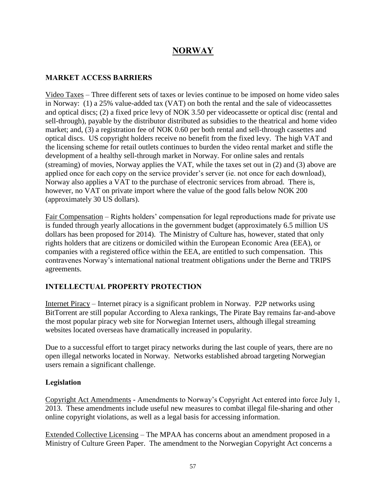# **NORWAY**

#### **MARKET ACCESS BARRIERS**

Video Taxes – Three different sets of taxes or levies continue to be imposed on home video sales in Norway: (1) a 25% value-added tax (VAT) on both the rental and the sale of videocassettes and optical discs; (2) a fixed price levy of NOK 3.50 per videocassette or optical disc (rental and sell-through), payable by the distributor distributed as subsidies to the theatrical and home video market; and, (3) a registration fee of NOK 0.60 per both rental and sell-through cassettes and optical discs. US copyright holders receive no benefit from the fixed levy. The high VAT and the licensing scheme for retail outlets continues to burden the video rental market and stifle the development of a healthy sell-through market in Norway. For online sales and rentals (streaming) of movies, Norway applies the VAT, while the taxes set out in (2) and (3) above are applied once for each copy on the service provider's server (ie. not once for each download), Norway also applies a VAT to the purchase of electronic services from abroad. There is, however, no VAT on private import where the value of the good falls below NOK 200 (approximately 30 US dollars).

Fair Compensation – Rights holders' compensation for legal reproductions made for private use is funded through yearly allocations in the government budget (approximately 6.5 million US dollars has been proposed for 2014). The Ministry of Culture has, however, stated that only rights holders that are citizens or domiciled within the European Economic Area (EEA), or companies with a registered office within the EEA, are entitled to such compensation. This contravenes Norway's international national treatment obligations under the Berne and TRIPS agreements.

#### **INTELLECTUAL PROPERTY PROTECTION**

Internet Piracy – Internet piracy is a significant problem in Norway. P2P networks using BitTorrent are still popular According to Alexa rankings, The Pirate Bay remains far-and-above the most popular piracy web site for Norwegian Internet users, although illegal streaming websites located overseas have dramatically increased in popularity.

Due to a successful effort to target piracy networks during the last couple of years, there are no open illegal networks located in Norway. Networks established abroad targeting Norwegian users remain a significant challenge.

#### **Legislation**

Copyright Act Amendments - Amendments to Norway's Copyright Act entered into force July 1, 2013. These amendments include useful new measures to combat illegal file-sharing and other online copyright violations, as well as a legal basis for accessing information.

Extended Collective Licensing – The MPAA has concerns about an amendment proposed in a Ministry of Culture Green Paper. The amendment to the Norwegian Copyright Act concerns a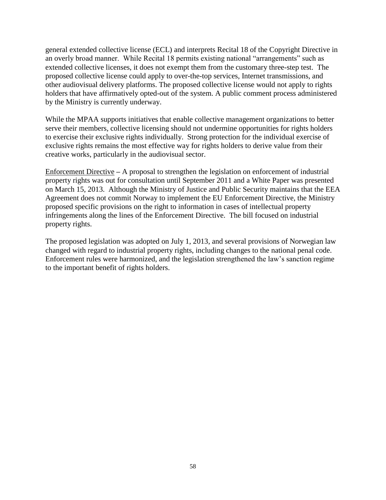general extended collective license (ECL) and interprets Recital 18 of the Copyright Directive in an overly broad manner. While Recital 18 permits existing national "arrangements" such as extended collective licenses, it does not exempt them from the customary three-step test. The proposed collective license could apply to over-the-top services, Internet transmissions, and other audiovisual delivery platforms. The proposed collective license would not apply to rights holders that have affirmatively opted-out of the system. A public comment process administered by the Ministry is currently underway.

While the MPAA supports initiatives that enable collective management organizations to better serve their members, collective licensing should not undermine opportunities for rights holders to exercise their exclusive rights individually. Strong protection for the individual exercise of exclusive rights remains the most effective way for rights holders to derive value from their creative works, particularly in the audiovisual sector.

Enforcement Directive **–** A proposal to strengthen the legislation on enforcement of industrial property rights was out for consultation until September 2011 and a White Paper was presented on March 15, 2013. Although the Ministry of Justice and Public Security maintains that the EEA Agreement does not commit Norway to implement the EU Enforcement Directive, the Ministry proposed specific provisions on the right to information in cases of intellectual property infringements along the lines of the Enforcement Directive. The bill focused on industrial property rights.

The proposed legislation was adopted on July 1, 2013, and several provisions of Norwegian law changed with regard to industrial property rights, including changes to the national penal code. Enforcement rules were harmonized, and the legislation strengthened the law's sanction regime to the important benefit of rights holders.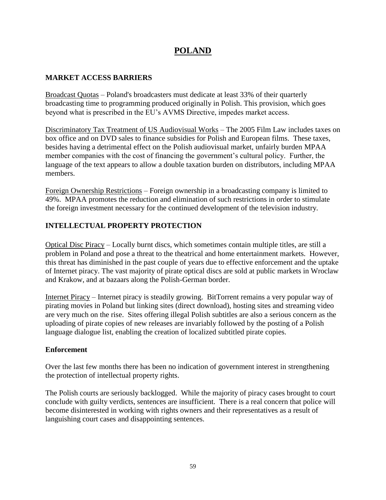### **POLAND**

#### **MARKET ACCESS BARRIERS**

Broadcast Quotas – Poland's broadcasters must dedicate at least 33% of their quarterly broadcasting time to programming produced originally in Polish. This provision, which goes beyond what is prescribed in the EU's AVMS Directive, impedes market access.

Discriminatory Tax Treatment of US Audiovisual Works – The 2005 Film Law includes taxes on box office and on DVD sales to finance subsidies for Polish and European films. These taxes, besides having a detrimental effect on the Polish audiovisual market, unfairly burden MPAA member companies with the cost of financing the government's cultural policy. Further, the language of the text appears to allow a double taxation burden on distributors, including MPAA members.

Foreign Ownership Restrictions – Foreign ownership in a broadcasting company is limited to 49%. MPAA promotes the reduction and elimination of such restrictions in order to stimulate the foreign investment necessary for the continued development of the television industry.

#### **INTELLECTUAL PROPERTY PROTECTION**

Optical Disc Piracy – Locally burnt discs, which sometimes contain multiple titles, are still a problem in Poland and pose a threat to the theatrical and home entertainment markets. However, this threat has diminished in the past couple of years due to effective enforcement and the uptake of Internet piracy. The vast majority of pirate optical discs are sold at public markets in Wroclaw and Krakow, and at bazaars along the Polish-German border.

Internet Piracy – Internet piracy is steadily growing. BitTorrent remains a very popular way of pirating movies in Poland but linking sites (direct download), hosting sites and streaming video are very much on the rise. Sites offering illegal Polish subtitles are also a serious concern as the uploading of pirate copies of new releases are invariably followed by the posting of a Polish language dialogue list, enabling the creation of localized subtitled pirate copies.

#### **Enforcement**

Over the last few months there has been no indication of government interest in strengthening the protection of intellectual property rights.

The Polish courts are seriously backlogged. While the majority of piracy cases brought to court conclude with guilty verdicts, sentences are insufficient. There is a real concern that police will become disinterested in working with rights owners and their representatives as a result of languishing court cases and disappointing sentences.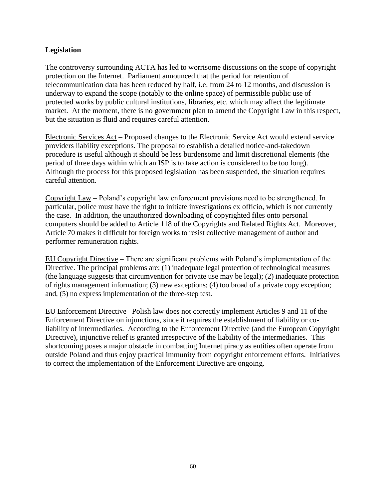#### **Legislation**

The controversy surrounding ACTA has led to worrisome discussions on the scope of copyright protection on the Internet. Parliament announced that the period for retention of telecommunication data has been reduced by half, i.e. from 24 to 12 months, and discussion is underway to expand the scope (notably to the online space) of permissible public use of protected works by public cultural institutions, libraries, etc. which may affect the legitimate market. At the moment, there is no government plan to amend the Copyright Law in this respect, but the situation is fluid and requires careful attention.

Electronic Services Act – Proposed changes to the Electronic Service Act would extend service providers liability exceptions. The proposal to establish a detailed notice-and-takedown procedure is useful although it should be less burdensome and limit discretional elements (the period of three days within which an ISP is to take action is considered to be too long). Although the process for this proposed legislation has been suspended, the situation requires careful attention.

Copyright Law – Poland's copyright law enforcement provisions need to be strengthened. In particular, police must have the right to initiate investigations ex officio, which is not currently the case. In addition, the unauthorized downloading of copyrighted files onto personal computers should be added to Article 118 of the Copyrights and Related Rights Act. Moreover, Article 70 makes it difficult for foreign works to resist collective management of author and performer remuneration rights.

EU Copyright Directive – There are significant problems with Poland's implementation of the Directive. The principal problems are: (1) inadequate legal protection of technological measures (the language suggests that circumvention for private use may be legal); (2) inadequate protection of rights management information; (3) new exceptions; (4) too broad of a private copy exception; and, (5) no express implementation of the three-step test.

EU Enforcement Directive –Polish law does not correctly implement Articles 9 and 11 of the Enforcement Directive on injunctions, since it requires the establishment of liability or coliability of intermediaries. According to the Enforcement Directive (and the European Copyright Directive), injunctive relief is granted irrespective of the liability of the intermediaries. This shortcoming poses a major obstacle in combatting Internet piracy as entities often operate from outside Poland and thus enjoy practical immunity from copyright enforcement efforts. Initiatives to correct the implementation of the Enforcement Directive are ongoing.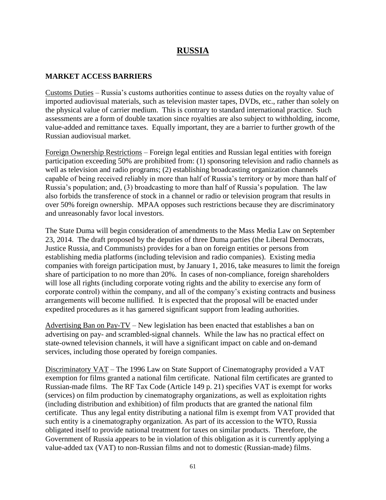### **RUSSIA**

#### **MARKET ACCESS BARRIERS**

Customs Duties – Russia's customs authorities continue to assess duties on the royalty value of imported audiovisual materials, such as television master tapes, DVDs, etc., rather than solely on the physical value of carrier medium. This is contrary to standard international practice. Such assessments are a form of double taxation since royalties are also subject to withholding, income, value-added and remittance taxes. Equally important, they are a barrier to further growth of the Russian audiovisual market.

Foreign Ownership Restrictions – Foreign legal entities and Russian legal entities with foreign participation exceeding 50% are prohibited from: (1) sponsoring television and radio channels as well as television and radio programs; (2) establishing broadcasting organization channels capable of being received reliably in more than half of Russia's territory or by more than half of Russia's population; and, (3) broadcasting to more than half of Russia's population. The law also forbids the transference of stock in a channel or radio or television program that results in over 50% foreign ownership. MPAA opposes such restrictions because they are discriminatory and unreasonably favor local investors.

The State Duma will begin consideration of amendments to the Mass Media Law on September 23, 2014. The draft proposed by the deputies of three Duma parties (the Liberal Democrats, Justice Russia, and Communists) provides for a ban on foreign entities or persons from establishing media platforms (including television and radio companies). Existing media companies with foreign participation must, by January 1, 2016, take measures to limit the foreign share of participation to no more than 20%. In cases of non-compliance, foreign shareholders will lose all rights (including corporate voting rights and the ability to exercise any form of corporate control) within the company, and all of the company's existing contracts and business arrangements will become nullified. It is expected that the proposal will be enacted under expedited procedures as it has garnered significant support from leading authorities.

Advertising Ban on Pay-TV – New legislation has been enacted that establishes a ban on advertising on pay- and scrambled-signal channels. While the law has no practical effect on state-owned television channels, it will have a significant impact on cable and on-demand services, including those operated by foreign companies.

Discriminatory VAT – The 1996 Law on State Support of Cinematography provided a VAT exemption for films granted a national film certificate. National film certificates are granted to Russian-made films. The RF Tax Code (Article 149 p. 21) specifies VAT is exempt for works (services) on film production by cinematography organizations, as well as exploitation rights (including distribution and exhibition) of film products that are granted the national film certificate. Thus any legal entity distributing a national film is exempt from VAT provided that such entity is a cinematography organization. As part of its accession to the WTO, Russia obligated itself to provide national treatment for taxes on similar products. Therefore, the Government of Russia appears to be in violation of this obligation as it is currently applying a value-added tax (VAT) to non-Russian films and not to domestic (Russian-made) films.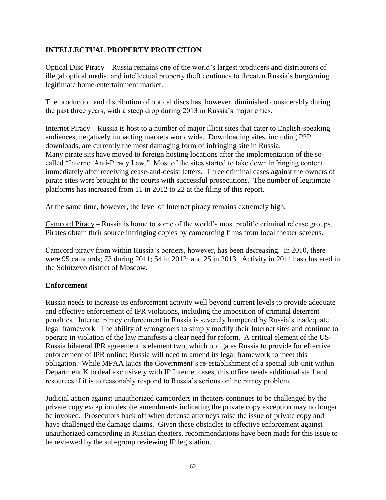#### **INTELLECTUAL PROPERTY PROTECTION**

Optical Disc Piracy – Russia remains one of the world's largest producers and distributors of illegal optical media, and intellectual property theft continues to threaten Russia's burgeoning legitimate home-entertainment market.

The production and distribution of optical discs has, however, diminished considerably during the past three years, with a steep drop during 2013 in Russia's major cities.

Internet Piracy – Russia is host to a number of major illicit sites that cater to English-speaking audiences, negatively impacting markets worldwide. Downloading sites, including P2P downloads, are currently the most damaging form of infringing site in Russia. Many pirate sits have moved to foreign hosting locations after the implementation of the socalled "Internet Anti-Piracy Law." Most of the sites started to take down infringing content immediately after receiving cease-and-desist letters. Three criminal cases against the owners of pirate sites were brought to the courts with successful prosecutions. The number of legitimate platforms has increased from 11 in 2012 to 22 at the filing of this report.

At the same time, however, the level of Internet piracy remains extremely high.

Camcord Piracy – Russia is home to some of the world's most prolific criminal release groups. Pirates obtain their source infringing copies by camcording films from local theater screens.

Camcord piracy from within Russia's borders, however, has been decreasing. In 2010, there were 95 camcords; 73 during 2011; 54 in 2012; and 25 in 2013. Activity in 2014 has clustered in the Solntzevo district of Moscow.

#### **Enforcement**

Russia needs to increase its enforcement activity well beyond current levels to provide adequate and effective enforcement of IPR violations, including the imposition of criminal deterrent penalties. Internet piracy enforcement in Russia is severely hampered by Russia's inadequate legal framework. The ability of wrongdoers to simply modify their Internet sites and continue to operate in violation of the law manifests a clear need for reform. A critical element of the US-Russia bilateral IPR agreement is element two, which obligates Russia to provide for effective enforcement of IPR online; Russia will need to amend its legal framework to meet this obligation. While MPAA lauds the Government's re-establishment of a special sub-unit within Department K to deal exclusively with IP Internet cases, this office needs additional staff and resources if it is to reasonably respond to Russia's serious online piracy problem.

Judicial action against unauthorized camcorders in theaters continues to be challenged by the private copy exception despite amendments indicating the private copy exception may no longer be invoked. Prosecutors back off when defense attorneys raise the issue of private copy and have challenged the damage claims. Given these obstacles to effective enforcement against unauthorized camcording in Russian theaters, recommendations have been made for this issue to be reviewed by the sub-group reviewing IP legislation.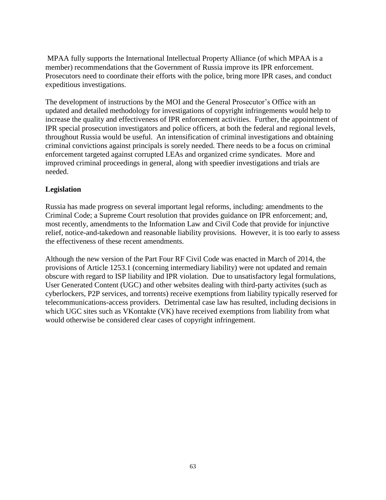MPAA fully supports the International Intellectual Property Alliance (of which MPAA is a member) recommendations that the Government of Russia improve its IPR enforcement. Prosecutors need to coordinate their efforts with the police, bring more IPR cases, and conduct expeditious investigations.

The development of instructions by the MOI and the General Prosecutor's Office with an updated and detailed methodology for investigations of copyright infringements would help to increase the quality and effectiveness of IPR enforcement activities. Further, the appointment of IPR special prosecution investigators and police officers, at both the federal and regional levels, throughout Russia would be useful. An intensification of criminal investigations and obtaining criminal convictions against principals is sorely needed. There needs to be a focus on criminal enforcement targeted against corrupted LEAs and organized crime syndicates. More and improved criminal proceedings in general, along with speedier investigations and trials are needed.

#### **Legislation**

Russia has made progress on several important legal reforms, including: amendments to the Criminal Code; a Supreme Court resolution that provides guidance on IPR enforcement; and, most recently, amendments to the Information Law and Civil Code that provide for injunctive relief, notice-and-takedown and reasonable liability provisions. However, it is too early to assess the effectiveness of these recent amendments.

Although the new version of the Part Four RF Civil Code was enacted in March of 2014, the provisions of Article 1253.1 (concerning intermediary liability) were not updated and remain obscure with regard to ISP liability and IPR violation. Due to unsatisfactory legal formulations, User Generated Content (UGC) and other websites dealing with third-party activites (such as cyberlockers, P2P services, and torrents) receive exemptions from liability typically reserved for telecommunications-access providers. Detrimental case law has resulted, including decisions in which UGC sites such as VKontakte (VK) have received exemptions from liability from what would otherwise be considered clear cases of copyright infringement.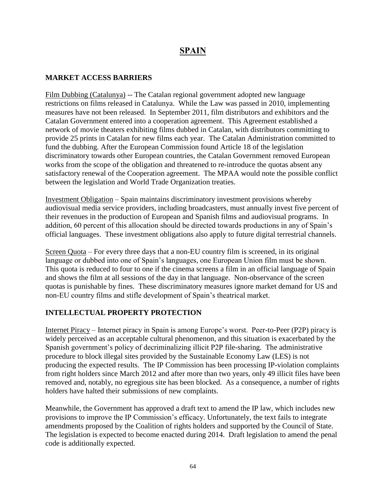# **SPAIN**

#### **MARKET ACCESS BARRIERS**

Film Dubbing (Catalunya) -- The Catalan regional government adopted new language restrictions on films released in Catalunya. While the Law was passed in 2010, implementing measures have not been released. In September 2011, film distributors and exhibitors and the Catalan Government entered into a cooperation agreement. This Agreement established a network of movie theaters exhibiting films dubbed in Catalan, with distributors committing to provide 25 prints in Catalan for new films each year. The Catalan Administration committed to fund the dubbing. After the European Commission found Article 18 of the legislation discriminatory towards other European countries, the Catalan Government removed European works from the scope of the obligation and threatened to re-introduce the quotas absent any satisfactory renewal of the Cooperation agreement. The MPAA would note the possible conflict between the legislation and World Trade Organization treaties.

Investment Obligation – Spain maintains discriminatory investment provisions whereby audiovisual media service providers, including broadcasters, must annually invest five percent of their revenues in the production of European and Spanish films and audiovisual programs. In addition, 60 percent of this allocation should be directed towards productions in any of Spain's official languages. These investment obligations also apply to future digital terrestrial channels.

Screen Quota – For every three days that a non-EU country film is screened, in its original language or dubbed into one of Spain's languages, one European Union film must be shown. This quota is reduced to four to one if the cinema screens a film in an official language of Spain and shows the film at all sessions of the day in that language. Non-observance of the screen quotas is punishable by fines. These discriminatory measures ignore market demand for US and non-EU country films and stifle development of Spain's theatrical market.

#### **INTELLECTUAL PROPERTY PROTECTION**

Internet Piracy – Internet piracy in Spain is among Europe's worst. Peer-to-Peer (P2P) piracy is widely perceived as an acceptable cultural phenomenon, and this situation is exacerbated by the Spanish government's policy of decriminalizing illicit P2P file-sharing. The administrative procedure to block illegal sites provided by the Sustainable Economy Law (LES) is not producing the expected results. The IP Commission has been processing IP-violation complaints from right holders since March 2012 and after more than two years, only 49 illicit files have been removed and, notably, no egregious site has been blocked. As a consequence, a number of rights holders have halted their submissions of new complaints.

Meanwhile, the Government has approved a draft text to amend the IP law, which includes new provisions to improve the IP Commission's efficacy. Unfortunately, the text fails to integrate amendments proposed by the Coalition of rights holders and supported by the Council of State. The legislation is expected to become enacted during 2014. Draft legislation to amend the penal code is additionally expected.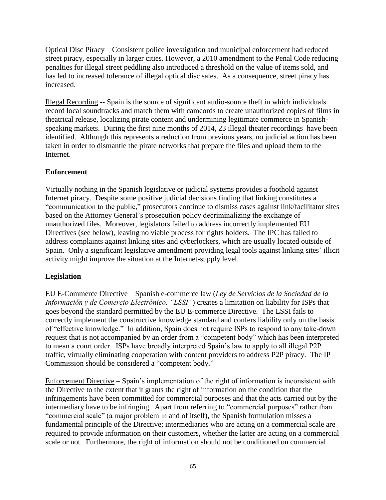Optical Disc Piracy – Consistent police investigation and municipal enforcement had reduced street piracy, especially in larger cities. However, a 2010 amendment to the Penal Code reducing penalties for illegal street peddling also introduced a threshold on the value of items sold, and has led to increased tolerance of illegal optical disc sales. As a consequence, street piracy has increased.

Illegal Recording -- Spain is the source of significant audio-source theft in which individuals record local soundtracks and match them with camcords to create unauthorized copies of films in theatrical release, localizing pirate content and undermining legitimate commerce in Spanishspeaking markets. During the first nine months of 2014, 23 illegal theater recordings have been identified. Although this represents a reduction from previous years, no judicial action has been taken in order to dismantle the pirate networks that prepare the files and upload them to the Internet.

#### **Enforcement**

Virtually nothing in the Spanish legislative or judicial systems provides a foothold against Internet piracy. Despite some positive judicial decisions finding that linking constitutes a "communication to the public," prosecutors continue to dismiss cases against link/facilitator sites based on the Attorney General's prosecution policy decriminalizing the exchange of unauthorized files. Moreover, legislators failed to address incorrectly implemented EU Directives (see below), leaving no viable process for rights holders. The IPC has failed to address complaints against linking sites and cyberlockers, which are usually located outside of Spain. Only a significant legislative amendment providing legal tools against linking sites' illicit activity might improve the situation at the Internet-supply level.

#### **Legislation**

EU E-Commerce Directive – Spanish e-commerce law (*Ley de Servicios de la Sociedad de la Información y de Comercio Electrónico, "LSSI"*) creates a limitation on liability for ISPs that goes beyond the standard permitted by the EU E-commerce Directive. The LSSI fails to correctly implement the constructive knowledge standard and confers liability only on the basis of "effective knowledge." In addition, Spain does not require ISPs to respond to any take-down request that is not accompanied by an order from a "competent body" which has been interpreted to mean a court order. ISPs have broadly interpreted Spain's law to apply to all illegal P2P traffic, virtually eliminating cooperation with content providers to address P2P piracy. The IP Commission should be considered a "competent body."

Enforcement Directive – Spain's implementation of the right of information is inconsistent with the Directive to the extent that it grants the right of information on the condition that the infringements have been committed for commercial purposes and that the acts carried out by the intermediary have to be infringing. Apart from referring to "commercial purposes" rather than "commercial scale" (a major problem in and of itself), the Spanish formulation misses a fundamental principle of the Directive; intermediaries who are acting on a commercial scale are required to provide information on their customers, whether the latter are acting on a commercial scale or not. Furthermore, the right of information should not be conditioned on commercial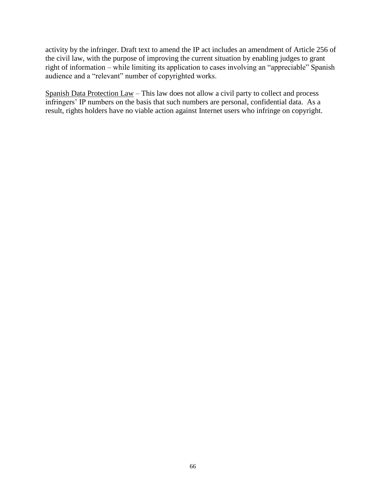activity by the infringer. Draft text to amend the IP act includes an amendment of Article 256 of the civil law, with the purpose of improving the current situation by enabling judges to grant right of information – while limiting its application to cases involving an "appreciable" Spanish audience and a "relevant" number of copyrighted works.

Spanish Data Protection Law – This law does not allow a civil party to collect and process infringers' IP numbers on the basis that such numbers are personal, confidential data. As a result, rights holders have no viable action against Internet users who infringe on copyright.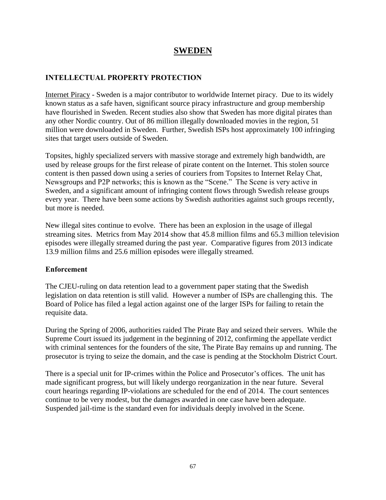### **SWEDEN**

#### **INTELLECTUAL PROPERTY PROTECTION**

Internet Piracy - Sweden is a major contributor to worldwide Internet piracy. Due to its widely known status as a safe haven, significant source piracy infrastructure and group membership have flourished in Sweden. Recent studies also show that Sweden has more digital pirates than any other Nordic country. Out of 86 million illegally downloaded movies in the region, 51 million were downloaded in Sweden. Further, Swedish ISPs host approximately 100 infringing sites that target users outside of Sweden.

Topsites, highly specialized servers with massive storage and extremely high bandwidth, are used by release groups for the first release of pirate content on the Internet. This stolen source content is then passed down using a series of couriers from Topsites to Internet Relay Chat, Newsgroups and P2P networks; this is known as the "Scene." The Scene is very active in Sweden, and a significant amount of infringing content flows through Swedish release groups every year. There have been some actions by Swedish authorities against such groups recently, but more is needed.

New illegal sites continue to evolve. There has been an explosion in the usage of illegal streaming sites. Metrics from May 2014 show that 45.8 million films and 65.3 million television episodes were illegally streamed during the past year. Comparative figures from 2013 indicate 13.9 million films and 25.6 million episodes were illegally streamed.

#### **Enforcement**

The CJEU-ruling on data retention lead to a government paper stating that the Swedish legislation on data retention is still valid. However a number of ISPs are challenging this. The Board of Police has filed a legal action against one of the larger ISPs for failing to retain the requisite data.

During the Spring of 2006, authorities raided The Pirate Bay and seized their servers. While the Supreme Court issued its judgement in the beginning of 2012, confirming the appellate verdict with criminal sentences for the founders of the site, The Pirate Bay remains up and running. The prosecutor is trying to seize the domain, and the case is pending at the Stockholm District Court.

There is a special unit for IP-crimes within the Police and Prosecutor's offices. The unit has made significant progress, but will likely undergo reorganization in the near future. Several court hearings regarding IP-violations are scheduled for the end of 2014. The court sentences continue to be very modest, but the damages awarded in one case have been adequate. Suspended jail-time is the standard even for individuals deeply involved in the Scene.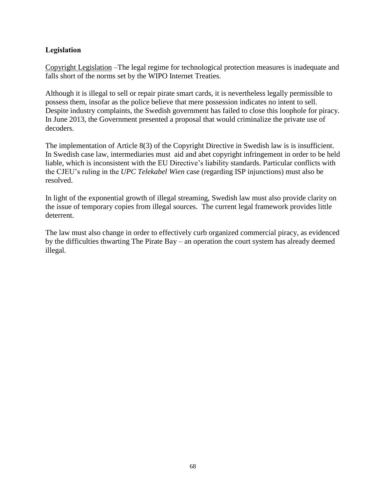#### **Legislation**

Copyright Legislation –The legal regime for technological protection measures is inadequate and falls short of the norms set by the WIPO Internet Treaties.

Although it is illegal to sell or repair pirate smart cards, it is nevertheless legally permissible to possess them, insofar as the police believe that mere possession indicates no intent to sell. Despite industry complaints, the Swedish government has failed to close this loophole for piracy. In June 2013, the Government presented a proposal that would criminalize the private use of decoders.

The implementation of Article 8(3) of the Copyright Directive in Swedish law is is insufficient. In Swedish case law, intermediaries must aid and abet copyright infringement in order to be held liable, which is inconsistent with the EU Directive's liability standards. Particular conflicts with the CJEU's ruling in the *UPC Telekabel Wien* case (regarding ISP injunctions) must also be resolved.

In light of the exponential growth of illegal streaming, Swedish law must also provide clarity on the issue of temporary copies from illegal sources. The current legal framework provides little deterrent.

The law must also change in order to effectively curb organized commercial piracy, as evidenced by the difficulties thwarting The Pirate Bay – an operation the court system has already deemed illegal.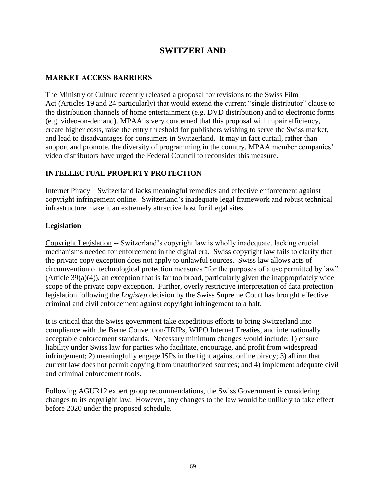### **SWITZERLAND**

#### **MARKET ACCESS BARRIERS**

The Ministry of Culture recently released a proposal for revisions to the Swiss Film Act (Articles 19 and 24 particularly) that would extend the current "single distributor" clause to the distribution channels of home entertainment (e.g. DVD distribution) and to electronic forms (e.g. video-on-demand). MPAA is very concerned that this proposal will impair efficiency, create higher costs, raise the entry threshold for publishers wishing to serve the Swiss market, and lead to disadvantages for consumers in Switzerland. It may in fact curtail, rather than support and promote, the diversity of programming in the country. MPAA member companies' video distributors have urged the Federal Council to reconsider this measure.

#### **INTELLECTUAL PROPERTY PROTECTION**

Internet Piracy – Switzerland lacks meaningful remedies and effective enforcement against copyright infringement online. Switzerland's inadequate legal framework and robust technical infrastructure make it an extremely attractive host for illegal sites.

#### **Legislation**

Copyright Legislation -- Switzerland's copyright law is wholly inadequate, lacking crucial mechanisms needed for enforcement in the digital era. Swiss copyright law fails to clarify that the private copy exception does not apply to unlawful sources. Swiss law allows acts of circumvention of technological protection measures "for the purposes of a use permitted by law" (Article 39(a)(4)), an exception that is far too broad, particularly given the inappropriately wide scope of the private copy exception. Further, overly restrictive interpretation of data protection legislation following the *Logistep* decision by the Swiss Supreme Court has brought effective criminal and civil enforcement against copyright infringement to a halt.

It is critical that the Swiss government take expeditious efforts to bring Switzerland into compliance with the Berne Convention/TRIPs, WIPO Internet Treaties, and internationally acceptable enforcement standards. Necessary minimum changes would include: 1) ensure liability under Swiss law for parties who facilitate, encourage, and profit from widespread infringement; 2) meaningfully engage ISPs in the fight against online piracy; 3) affirm that current law does not permit copying from unauthorized sources; and 4) implement adequate civil and criminal enforcement tools.

Following AGUR12 expert group recommendations, the Swiss Government is considering changes to its copyright law. However, any changes to the law would be unlikely to take effect before 2020 under the proposed schedule.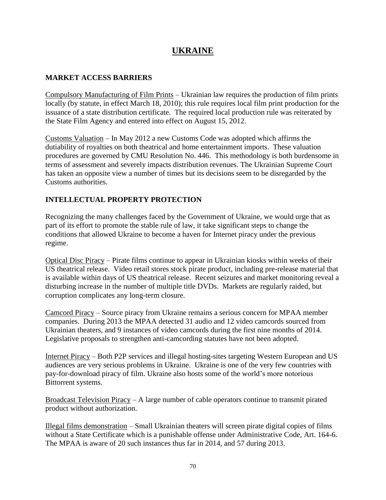# **UKRAINE**

#### **MARKET ACCESS BARRIERS**

Compulsory Manufacturing of Film Prints – Ukrainian law requires the production of film prints locally (by statute, in effect March 18, 2010); this rule requires local film print production for the issuance of a state distribution certificate. The required local production rule was reiterated by the State Film Agency and entered into effect on August 15, 2012.

Customs Valuation – In May 2012 a new Customs Code was adopted which affirms the dutiability of royalties on both theatrical and home entertainment imports. These valuation procedures are governed by CMU Resolution No. 446. This methodology is both burdensome in terms of assessment and severely impacts distribution revenues. The Ukrainian Supreme Court has taken an opposite view a number of times but its decisions seem to be disregarded by the Customs authorities.

#### **INTELLECTUAL PROPERTY PROTECTION**

Recognizing the many challenges faced by the Government of Ukraine, we would urge that as part of its effort to promote the stable rule of law, it take significant steps to change the conditions that allowed Ukraine to become a haven for Internet piracy under the previous regime.

Optical Disc Piracy – Pirate films continue to appear in Ukrainian kiosks within weeks of their US theatrical release. Video retail stores stock pirate product, including pre-release material that is available within days of US theatrical release. Recent seizures and market monitoring reveal a disturbing increase in the number of multiple title DVDs. Markets are regularly raided, but corruption complicates any long-term closure.

Camcord Piracy – Source piracy from Ukraine remains a serious concern for MPAA member companies. During 2013 the MPAA detected 31 audio and 12 video camcords sourced from Ukrainian theaters, and 9 instances of video camcords during the first nine months of 2014. Legislative proposals to strengthen anti-camcording statutes have not been adopted.

Internet Piracy – Both P2P services and illegal hosting-sites targeting Western European and US audiences are very serious problems in Ukraine. Ukraine is one of the very few countries with pay-for-download piracy of film. Ukraine also hosts some of the world's more notorious Bittorrent systems.

Broadcast Television Piracy – A large number of cable operators continue to transmit pirated product without authorization.

Illegal films demonstration – Small Ukrainian theaters will screen pirate digital copies of films without a State Certificate which is a punishable offense under Administrative Code, Art. 164-6. The MPAA is aware of 20 such instances thus far in 2014, and 57 during 2013.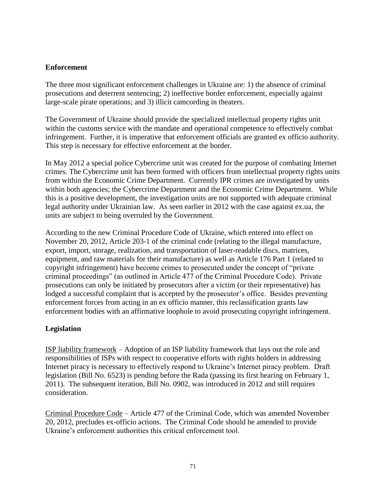#### **Enforcement**

The three most significant enforcement challenges in Ukraine are: 1) the absence of criminal prosecutions and deterrent sentencing; 2) ineffective border enforcement, especially against large-scale pirate operations; and 3) illicit camcording in theaters.

The Government of Ukraine should provide the specialized intellectual property rights unit within the customs service with the mandate and operational competence to effectively combat infringement. Further, it is imperative that enforcement officials are granted ex officio authority. This step is necessary for effective enforcement at the border.

In May 2012 a special police Cybercrime unit was created for the purpose of combating Internet crimes. The Cybercrime unit has been formed with officers from intellectual property rights units from within the Economic Crime Department. Currently IPR crimes are investigated by units within both agencies; the Cybercrime Department and the Economic Crime Department. While this is a positive development, the investigation units are not supported with adequate criminal legal authority under Ukrainian law. As seen earlier in 2012 with the case against ex.ua, the units are subject to being overruled by the Government.

According to the new Criminal Procedure Code of Ukraine, which entered into effect on November 20, 2012, Article 203-1 of the criminal code (relating to the illegal manufacture, export, import, storage, realization, and transportation of laser-readable discs, matrices, equipment, and raw materials for their manufacture) as well as Article 176 Part 1 (related to copyright infringement) have become crimes to prosecuted under the concept of "private criminal proceedings" (as outlined in Article 477 of the Criminal Procedure Code). Private prosecutions can only be initiated by prosecutors after a victim (or their representative) has lodged a successful complaint that is accepted by the prosecutor's office. Besides preventing enforcement forces from acting in an ex officio manner, this reclassification grants law enforcement bodies with an affirmative loophole to avoid prosecuting copyright infringement.

#### **Legislation**

ISP liability framework – Adoption of an ISP liability framework that lays out the role and responsibilities of ISPs with respect to cooperative efforts with rights holders in addressing Internet piracy is necessary to effectively respond to Ukraine's Internet piracy problem. Draft legislation (Bill No. 6523) is pending before the Rada (passing its first hearing on February 1, 2011). The subsequent iteration, Bill No. 0902, was introduced in 2012 and still requires consideration.

Criminal Procedure Code – Article 477 of the Criminal Code, which was amended November 20, 2012, precludes ex-officio actions. The Criminal Code should be amended to provide Ukraine's enforcement authorities this critical enforcement tool.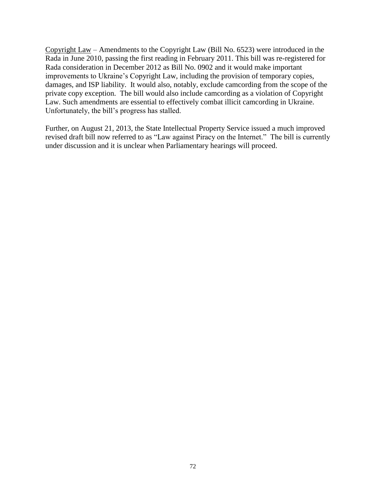Copyright Law – Amendments to the Copyright Law (Bill No. 6523) were introduced in the Rada in June 2010, passing the first reading in February 2011. This bill was re-registered for Rada consideration in December 2012 as Bill No. 0902 and it would make important improvements to Ukraine's Copyright Law, including the provision of temporary copies, damages, and ISP liability. It would also, notably, exclude camcording from the scope of the private copy exception. The bill would also include camcording as a violation of Copyright Law. Such amendments are essential to effectively combat illicit camcording in Ukraine. Unfortunately, the bill's progress has stalled.

Further, on August 21, 2013, the State Intellectual Property Service issued a much improved revised draft bill now referred to as "Law against Piracy on the Internet." The bill is currently under discussion and it is unclear when Parliamentary hearings will proceed.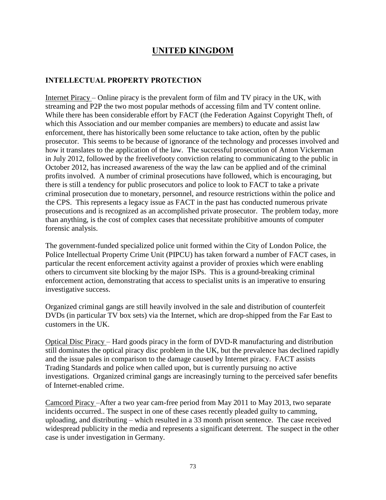## **UNITED KINGDOM**

#### **INTELLECTUAL PROPERTY PROTECTION**

Internet Piracy – Online piracy is the prevalent form of film and TV piracy in the UK, with streaming and P2P the two most popular methods of accessing film and TV content online. While there has been considerable effort by FACT (the Federation Against Copyright Theft, of which this Association and our member companies are members) to educate and assist law enforcement, there has historically been some reluctance to take action, often by the public prosecutor. This seems to be because of ignorance of the technology and processes involved and how it translates to the application of the law. The [successful prosecution of Anton Vickerman](http://www.judiciary.gov.uk/Resources/JCO/Documents/Judgments/anton-vickerman-sentencing-remarks-14082012.pdf)  [in July 2012,](http://www.judiciary.gov.uk/Resources/JCO/Documents/Judgments/anton-vickerman-sentencing-remarks-14082012.pdf) followed by the [freelivefooty](http://www.dailymail.co.uk/news/article-2268348/freelivefooty-Gary-Goodger-spared-jail-illegally-streaming-Premier-League-football-matches.html) conviction relating to communicating to the public in October 2012, has increased awareness of the way the law can be applied and of the criminal profits involved. A number of criminal prosecutions have followed, which is encouraging, but there is still a tendency for public prosecutors and police to look to FACT to take a private criminal prosecution due to monetary, personnel, and resource restrictions within the police and the CPS. This represents a legacy issue as FACT in the past has conducted numerous private prosecutions and is recognized as an accomplished private prosecutor. The problem today, more than anything, is the cost of complex cases that necessitate prohibitive amounts of computer forensic analysis.

The government-funded specialized police unit formed within the City of London Police, the Police Intellectual Property Crime Unit (PIPCU) has taken forward a number of FACT cases, in particular the recent enforcement activity against a provider of proxies which were enabling others to circumvent site blocking by the major ISPs. This is a ground-breaking criminal enforcement action, demonstrating that access to specialist units is an imperative to ensuring investigative success.

Organized criminal gangs are still heavily involved in the sale and distribution of counterfeit DVDs (in particular TV box sets) via the Internet, which are drop-shipped from the Far East to customers in the UK.

Optical Disc Piracy – Hard goods piracy in the form of DVD-R manufacturing and distribution still dominates the optical piracy disc problem in the UK, but the prevalence has declined rapidly and the issue pales in comparison to the damage caused by Internet piracy. FACT assists Trading Standards and police when called upon, but is currently pursuing no active investigations. Organized criminal gangs are increasingly turning to the perceived safer benefits of Internet-enabled crime.

Camcord Piracy –After a two year cam-free period from May 2011 to May 2013, two separate incidents occurred.. The suspect in one of these cases recently pleaded guilty to camming, uploading, and distributing – which resulted in a 33 month prison sentence. The case received widespread publicity in the media and represents a significant deterrent. The suspect in the other case is under investigation in Germany.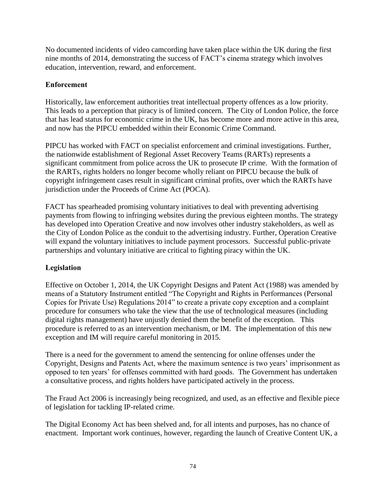No documented incidents of video camcording have taken place within the UK during the first nine months of 2014, demonstrating the success of FACT's cinema strategy which involves education, intervention, reward, and enforcement.

#### **Enforcement**

Historically, law enforcement authorities treat intellectual property offences as a low priority. This leads to a perception that piracy is of limited concern. The City of London Police, the force that has lead status for economic crime in the UK, has become more and more active in this area, and now has the PIPCU embedded within their Economic Crime Command.

PIPCU has worked with FACT on specialist enforcement and criminal investigations. Further, the nationwide establishment of Regional Asset Recovery Teams (RARTs) represents a significant commitment from police across the UK to prosecute IP crime. With the formation of the RARTs, rights holders no longer become wholly reliant on PIPCU because the bulk of copyright infringement cases result in significant criminal profits, over which the RARTs have jurisdiction under the Proceeds of Crime Act (POCA).

FACT has spearheaded promising voluntary initiatives to deal with preventing advertising payments from flowing to infringing websites during the previous eighteen months. The strategy has developed into Operation Creative and now involves other industry stakeholders, as well as the City of London Police as the conduit to the advertising industry. Further, Operation Creative will expand the voluntary initiatives to include payment processors. Successful public-private partnerships and voluntary initiative are critical to fighting piracy within the UK.

### **Legislation**

Effective on October 1, 2014, the UK Copyright Designs and Patent Act (1988) was amended by means of a Statutory Instrument entitled "The Copyright and Rights in Performances (Personal Copies for Private Use) Regulations 2014" to create a private copy exception and a complaint procedure for consumers who take the view that the use of technological measures (including digital rights management) have unjustly denied them the benefit of the exception. This procedure is referred to as an intervention mechanism, or IM. The implementation of this new exception and IM will require careful monitoring in 2015.

There is a need for the government to amend the sentencing for online offenses under the Copyright, Designs and Patents Act, where the maximum sentence is two years' imprisonment as opposed to ten years' for offenses committed with hard goods. The Government has undertaken a consultative process, and rights holders have participated actively in the process.

The Fraud Act 2006 is increasingly being recognized, and used, as an effective and flexible piece of legislation for tackling IP-related crime.

The Digital Economy Act has been shelved and, for all intents and purposes, has no chance of enactment. Important work continues, however, regarding the launch of Creative Content UK, a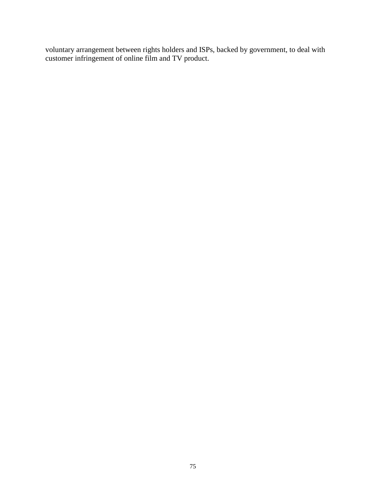voluntary arrangement between rights holders and ISPs, backed by government, to deal with customer infringement of online film and TV product.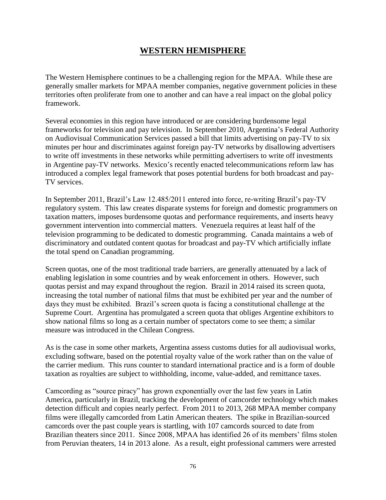## **WESTERN HEMISPHERE**

The Western Hemisphere continues to be a challenging region for the MPAA. While these are generally smaller markets for MPAA member companies, negative government policies in these territories often proliferate from one to another and can have a real impact on the global policy framework.

Several economies in this region have introduced or are considering burdensome legal frameworks for television and pay television. In September 2010, Argentina's Federal Authority on Audiovisual Communication Services passed a bill that limits advertising on pay-TV to six minutes per hour and discriminates against foreign pay-TV networks by disallowing advertisers to write off investments in these networks while permitting advertisers to write off investments in Argentine pay-TV networks. Mexico's recently enacted telecommunications reform law has introduced a complex legal framework that poses potential burdens for both broadcast and pay-TV services.

In September 2011, Brazil's Law 12.485/2011 entered into force, re-writing Brazil's pay-TV regulatory system. This law creates disparate systems for foreign and domestic programmers on taxation matters, imposes burdensome quotas and performance requirements, and inserts heavy government intervention into commercial matters. Venezuela requires at least half of the television programming to be dedicated to domestic programming. Canada maintains a web of discriminatory and outdated content quotas for broadcast and pay-TV which artificially inflate the total spend on Canadian programming.

Screen quotas, one of the most traditional trade barriers, are generally attenuated by a lack of enabling legislation in some countries and by weak enforcement in others. However, such quotas persist and may expand throughout the region. Brazil in 2014 raised its screen quota, increasing the total number of national films that must be exhibited per year and the number of days they must be exhibited. Brazil's screen quota is facing a constitutional challenge at the Supreme Court. Argentina has promulgated a screen quota that obliges Argentine exhibitors to show national films so long as a certain number of spectators come to see them; a similar measure was introduced in the Chilean Congress.

As is the case in some other markets, Argentina assess customs duties for all audiovisual works, excluding software, based on the potential royalty value of the work rather than on the value of the carrier medium. This runs counter to standard international practice and is a form of double taxation as royalties are subject to withholding, income, value-added, and remittance taxes.

Camcording as "source piracy" has grown exponentially over the last few years in Latin America, particularly in Brazil, tracking the development of camcorder technology which makes detection difficult and copies nearly perfect. From 2011 to 2013, 268 MPAA member company films were illegally camcorded from Latin American theaters. The spike in Brazilian-sourced camcords over the past couple years is startling, with 107 camcords sourced to date from Brazilian theaters since 2011. Since 2008, MPAA has identified 26 of its members' films stolen from Peruvian theaters, 14 in 2013 alone. As a result, eight professional cammers were arrested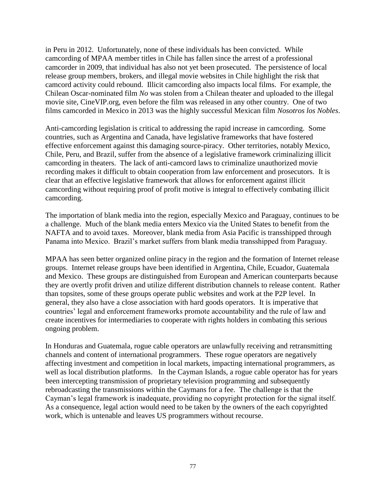in Peru in 2012. Unfortunately, none of these individuals has been convicted. While camcording of MPAA member titles in Chile has fallen since the arrest of a professional camcorder in 2009, that individual has also not yet been prosecuted. The persistence of local release group members, brokers, and illegal movie websites in Chile highlight the risk that camcord activity could rebound. Illicit camcording also impacts local films. For example, the Chilean Oscar-nominated film *No* was stolen from a Chilean theater and uploaded to the illegal movie site, CineVIP.org, even before the film was released in any other country. One of two films camcorded in Mexico in 2013 was the highly successful Mexican film *Nosotros los Nobles*.

Anti-camcording legislation is critical to addressing the rapid increase in camcording. Some countries, such as Argentina and Canada, have legislative frameworks that have fostered effective enforcement against this damaging source-piracy. Other territories, notably Mexico, Chile, Peru, and Brazil, suffer from the absence of a legislative framework criminalizing illicit camcording in theaters. The lack of anti-camcord laws to criminalize unauthorized movie recording makes it difficult to obtain cooperation from law enforcement and prosecutors. It is clear that an effective legislative framework that allows for enforcement against illicit camcording without requiring proof of profit motive is integral to effectively combating illicit camcording.

The importation of blank media into the region, especially Mexico and Paraguay, continues to be a challenge. Much of the blank media enters Mexico via the United States to benefit from the NAFTA and to avoid taxes. Moreover, blank media from Asia Pacific is transshipped through Panama into Mexico. Brazil's market suffers from blank media transshipped from Paraguay.

MPAA has seen better organized online piracy in the region and the formation of Internet release groups. Internet release groups have been identified in Argentina, Chile, Ecuador, Guatemala and Mexico. These groups are distinguished from European and American counterparts because they are overtly profit driven and utilize different distribution channels to release content. Rather than topsites, some of these groups operate public websites and work at the P2P level. In general, they also have a close association with hard goods operators. It is imperative that countries' legal and enforcement frameworks promote accountability and the rule of law and create incentives for intermediaries to cooperate with rights holders in combating this serious ongoing problem.

In Honduras and Guatemala, rogue cable operators are unlawfully receiving and retransmitting channels and content of international programmers. These rogue operators are negatively affecting investment and competition in local markets, impacting international programmers, as well as local distribution platforms. In the Cayman Islands, a rogue cable operator has for years been intercepting transmission of proprietary television programming and subsequently rebroadcasting the transmissions within the Caymans for a fee. The challenge is that the Cayman's legal framework is inadequate, providing no copyright protection for the signal itself. As a consequence, legal action would need to be taken by the owners of the each copyrighted work, which is untenable and leaves US programmers without recourse.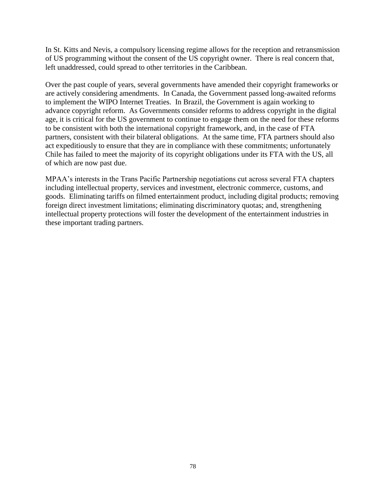In St. Kitts and Nevis, a compulsory licensing regime allows for the reception and retransmission of US programming without the consent of the US copyright owner. There is real concern that, left unaddressed, could spread to other territories in the Caribbean.

Over the past couple of years, several governments have amended their copyright frameworks or are actively considering amendments. In Canada, the Government passed long-awaited reforms to implement the WIPO Internet Treaties. In Brazil, the Government is again working to advance copyright reform. As Governments consider reforms to address copyright in the digital age, it is critical for the US government to continue to engage them on the need for these reforms to be consistent with both the international copyright framework, and, in the case of FTA partners, consistent with their bilateral obligations. At the same time, FTA partners should also act expeditiously to ensure that they are in compliance with these commitments; unfortunately Chile has failed to meet the majority of its copyright obligations under its FTA with the US, all of which are now past due.

MPAA's interests in the Trans Pacific Partnership negotiations cut across several FTA chapters including intellectual property, services and investment, electronic commerce, customs, and goods. Eliminating tariffs on filmed entertainment product, including digital products; removing foreign direct investment limitations; eliminating discriminatory quotas; and, strengthening intellectual property protections will foster the development of the entertainment industries in these important trading partners.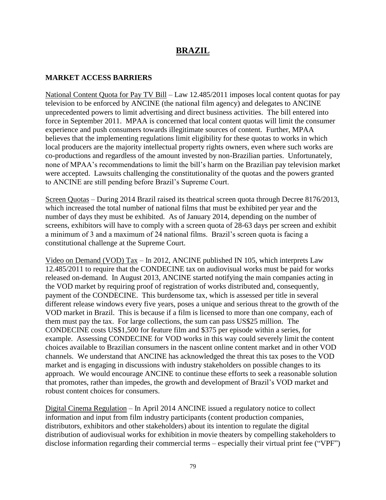## **BRAZIL**

#### **MARKET ACCESS BARRIERS**

National Content Quota for Pay TV Bill – Law 12.485/2011 imposes local content quotas for pay television to be enforced by ANCINE (the national film agency) and delegates to ANCINE unprecedented powers to limit advertising and direct business activities. The bill entered into force in September 2011. MPAA is concerned that local content quotas will limit the consumer experience and push consumers towards illegitimate sources of content. Further, MPAA believes that the implementing regulations limit eligibility for these quotas to works in which local producers are the majority intellectual property rights owners, even where such works are co-productions and regardless of the amount invested by non-Brazilian parties. Unfortunately, none of MPAA's recommendations to limit the bill's harm on the Brazilian pay television market were accepted. Lawsuits challenging the constitutionality of the quotas and the powers granted to ANCINE are still pending before Brazil's Supreme Court.

Screen Quotas – During 2014 Brazil raised its theatrical screen quota through Decree 8176/2013, which increased the total number of national films that must be exhibited per year and the number of days they must be exhibited. As of January 2014, depending on the number of screens, exhibitors will have to comply with a screen quota of 28-63 days per screen and exhibit a minimum of 3 and a maximum of 24 national films. Brazil's screen quota is facing a constitutional challenge at the Supreme Court.

Video on Demand (VOD) Tax – In 2012, ANCINE published IN 105, which interprets Law 12.485/2011 to require that the CONDECINE tax on audiovisual works must be paid for works released on-demand. In August 2013, ANCINE started notifying the main companies acting in the VOD market by requiring proof of registration of works distributed and, consequently, payment of the CONDECINE. This burdensome tax, which is assessed per title in several different release windows every five years, poses a unique and serious threat to the growth of the VOD market in Brazil. This is because if a film is licensed to more than one company, each of them must pay the tax. For large collections, the sum can pass US\$25 million. The CONDECINE costs US\$1,500 for feature film and \$375 per episode within a series, for example. Assessing CONDECINE for VOD works in this way could severely limit the content choices available to Brazilian consumers in the nascent online content market and in other VOD channels. We understand that ANCINE has acknowledged the threat this tax poses to the VOD market and is engaging in discussions with industry stakeholders on possible changes to its approach. We would encourage ANCINE to continue these efforts to seek a reasonable solution that promotes, rather than impedes, the growth and development of Brazil's VOD market and robust content choices for consumers.

Digital Cinema Regulation – In April 2014 ANCINE issued a regulatory notice to collect information and input from film industry participants (content production companies, distributors, exhibitors and other stakeholders) about its intention to regulate the digital distribution of audiovisual works for exhibition in movie theaters by compelling stakeholders to disclose information regarding their commercial terms – especially their virtual print fee ("VPF")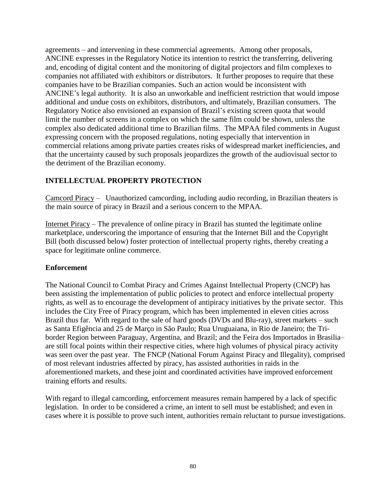agreements – and intervening in these commercial agreements. Among other proposals, ANCINE expresses in the Regulatory Notice its intention to restrict the transferring, delivering and, encoding of digital content and the monitoring of digital projectors and film complexes to companies not affiliated with exhibitors or distributors. It further proposes to require that these companies have to be Brazilian companies. Such an action would be inconsistent with ANCINE's legal authority. It is also an unworkable and inefficient restriction that would impose additional and undue costs on exhibitors, distributors, and ultimately, Brazilian consumers. The Regulatory Notice also envisioned an expansion of Brazil's existing screen quota that would limit the number of screens in a complex on which the same film could be shown, unless the complex also dedicated additional time to Brazilian films. The MPAA filed comments in August expressing concern with the proposed regulations, noting especially that intervention in commercial relations among private parties creates risks of widespread market inefficiencies, and that the uncertainty caused by such proposals jeopardizes the growth of the audiovisual sector to the detriment of the Brazilian economy.

#### **INTELLECTUAL PROPERTY PROTECTION**

Camcord Piracy – Unauthorized camcording, including audio recording, in Brazilian theaters is the main source of piracy in Brazil and a serious concern to the MPAA.

Internet Piracy – The prevalence of online piracy in Brazil has stunted the legitimate online marketplace, underscoring the importance of ensuring that the Internet Bill and the Copyright Bill (both discussed below) foster protection of intellectual property rights, thereby creating a space for legitimate online commerce.

#### **Enforcement**

The National Council to Combat Piracy and Crimes Against Intellectual Property (CNCP) has been assisting the implementation of public policies to protect and enforce intellectual property rights, as well as to encourage the development of antipiracy initiatives by the private sector. This includes the City Free of Piracy program, which has been implemented in eleven cities across Brazil thus far. With regard to the sale of hard goods (DVDs and Blu-ray), street markets – such as Santa Efigência and 25 de Março in São Paulo; Rua Uruguaiana, in Rio de Janeiro; the Triborder Region between Paraguay, Argentina, and Brazil; and the Feira dos Importados in Brasilia– are still focal points within their respective cities, where high volumes of physical piracy activity was seen over the past year. The FNCP (National Forum Against Piracy and Illegality), comprised of most relevant industries affected by piracy, has assisted authorities in raids in the aforementioned markets, and these joint and coordinated activities have improved enforcement training efforts and results.

With regard to illegal camcording, enforcement measures remain hampered by a lack of specific legislation. In order to be considered a crime, an intent to sell must be established; and even in cases where it is possible to prove such intent, authorities remain reluctant to pursue investigations.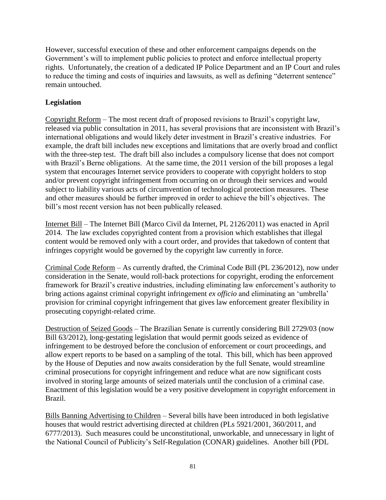However, successful execution of these and other enforcement campaigns depends on the Government's will to implement public policies to protect and enforce intellectual property rights. Unfortunately, the creation of a dedicated IP Police Department and an IP Court and rules to reduce the timing and costs of inquiries and lawsuits, as well as defining "deterrent sentence" remain untouched.

### **Legislation**

Copyright Reform – The most recent draft of proposed revisions to Brazil's copyright law, released via public consultation in 2011, has several provisions that are inconsistent with Brazil's international obligations and would likely deter investment in Brazil's creative industries. For example, the draft bill includes new exceptions and limitations that are overly broad and conflict with the three-step test. The draft bill also includes a compulsory license that does not comport with Brazil's Berne obligations. At the same time, the 2011 version of the bill proposes a legal system that encourages Internet service providers to cooperate with copyright holders to stop and/or prevent copyright infringement from occurring on or through their services and would subject to liability various acts of circumvention of technological protection measures. These and other measures should be further improved in order to achieve the bill's objectives. The bill's most recent version has not been publically released.

Internet Bill – The Internet Bill (Marco Civil da Internet, PL 2126/2011) was enacted in April 2014. The law excludes copyrighted content from a provision which establishes that illegal content would be removed only with a court order, and provides that takedown of content that infringes copyright would be governed by the copyright law currently in force.

Criminal Code Reform – As currently drafted, the Criminal Code Bill (PL 236/2012), now under consideration in the Senate, would roll-back protections for copyright, eroding the enforcement framework for Brazil's creative industries, including eliminating law enforcement's authority to bring actions against criminal copyright infringement *ex officio* and eliminating an 'umbrella' provision for criminal copyright infringement that gives law enforcement greater flexibility in prosecuting copyright-related crime.

Destruction of Seized Goods – The Brazilian Senate is currently considering Bill 2729/03 (now Bill 63/2012), long-gestating legislation that would permit goods seized as evidence of infringement to be destroyed before the conclusion of enforcement or court proceedings, and allow expert reports to be based on a sampling of the total. This bill, which has been approved by the House of Deputies and now awaits consideration by the full Senate, would streamline criminal prosecutions for copyright infringement and reduce what are now significant costs involved in storing large amounts of seized materials until the conclusion of a criminal case. Enactment of this legislation would be a very positive development in copyright enforcement in Brazil.

Bills Banning Advertising to Children – Several bills have been introduced in both legislative houses that would restrict advertising directed at children (PLs 5921/2001, 360/2011, and 6777/2013). Such measures could be unconstitutional, unworkable, and unnecessary in light of the National Council of Publicity's Self-Regulation (CONAR) guidelines. Another bill (PDL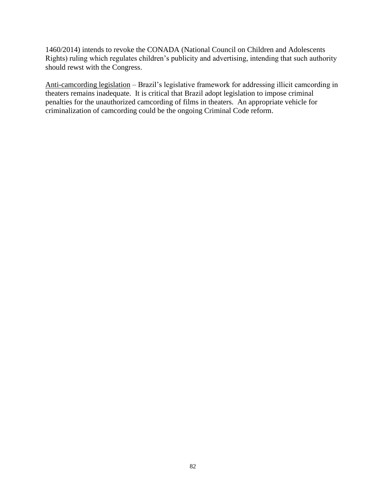1460/2014) intends to revoke the CONADA (National Council on Children and Adolescents Rights) ruling which regulates children's publicity and advertising, intending that such authority should rewst with the Congress.

Anti-camcording legislation – Brazil's legislative framework for addressing illicit camcording in theaters remains inadequate. It is critical that Brazil adopt legislation to impose criminal penalties for the unauthorized camcording of films in theaters. An appropriate vehicle for criminalization of camcording could be the ongoing Criminal Code reform.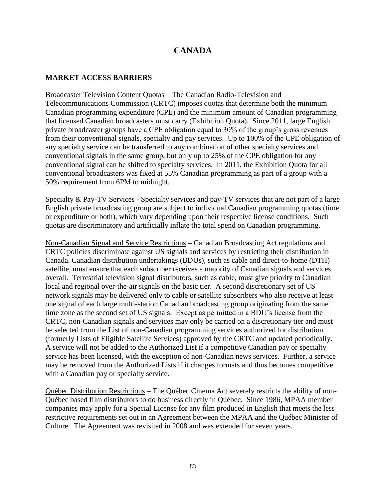# **CANADA**

#### **MARKET ACCESS BARRIERS**

Broadcaster Television Content Quotas – The Canadian Radio-Television and Telecommunications Commission (CRTC) imposes quotas that determine both the minimum Canadian programming expenditure (CPE) and the minimum amount of Canadian programming that licensed Canadian broadcasters must carry (Exhibition Quota). Since 2011, large English private broadcaster groups have a CPE obligation equal to 30% of the group's gross revenues from their conventional signals, specialty and pay services. Up to 100% of the CPE obligation of any specialty service can be transferred to any combination of other specialty services and conventional signals in the same group, but only up to 25% of the CPE obligation for any conventional signal can be shifted to specialty services. In 2011, the Exhibition Quota for all conventional broadcasters was fixed at 55% Canadian programming as part of a group with a 50% requirement from 6PM to midnight.

Specialty & Pay-TV Services - Specialty services and pay-TV services that are not part of a large English private broadcasting group are subject to individual Canadian programming quotas (time or expenditure or both), which vary depending upon their respective license conditions. Such quotas are discriminatory and artificially inflate the total spend on Canadian programming.

Non-Canadian Signal and Service Restrictions – Canadian Broadcasting Act regulations and CRTC policies discriminate against US signals and services by restricting their distribution in Canada. Canadian distribution undertakings (BDUs), such as cable and direct-to-home (DTH) satellite, must ensure that each subscriber receives a majority of Canadian signals and services overall. Terrestrial television signal distributors, such as cable, must give priority to Canadian local and regional over-the-air signals on the basic tier. A second discretionary set of US network signals may be delivered only to cable or satellite subscribers who also receive at least one signal of each large multi-station Canadian broadcasting group originating from the same time zone as the second set of US signals. Except as permitted in a BDU's license from the CRTC, non-Canadian signals and services may only be carried on a discretionary tier and must be selected from the List of non-Canadian programming services authorized for distribution (formerly Lists of Eligible Satellite Services) approved by the CRTC and updated periodically. A service will not be added to the Authorized List if a competitive Canadian pay or specialty service has been licensed, with the exception of non-Canadian news services. Further, a service may be removed from the Authorized Lists if it changes formats and thus becomes competitive with a Canadian pay or specialty service.

Québec Distribution Restrictions – The Québec Cinema Act severely restricts the ability of non-Québec based film distributors to do business directly in Québec. Since 1986, MPAA member companies may apply for a Special License for any film produced in English that meets the less restrictive requirements set out in an Agreement between the MPAA and the Québec Minister of Culture. The Agreement was revisited in 2008 and was extended for seven years.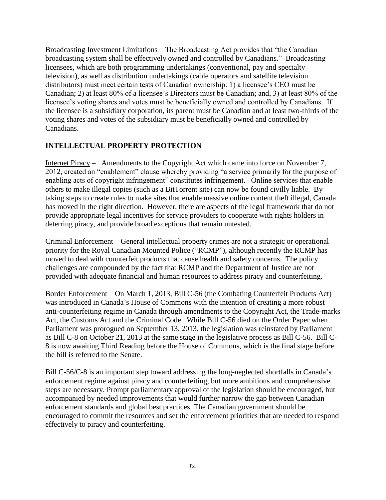Broadcasting Investment Limitations – The Broadcasting Act provides that "the Canadian broadcasting system shall be effectively owned and controlled by Canadians." Broadcasting licensees, which are both programming undertakings (conventional, pay and specialty television), as well as distribution undertakings (cable operators and satellite television distributors) must meet certain tests of Canadian ownership: 1) a licensee's CEO must be Canadian; 2) at least 80% of a licensee's Directors must be Canadian; and, 3) at least 80% of the licensee's voting shares and votes must be beneficially owned and controlled by Canadians. If the licensee is a subsidiary corporation, its parent must be Canadian and at least two-thirds of the voting shares and votes of the subsidiary must be beneficially owned and controlled by Canadians.

#### **INTELLECTUAL PROPERTY PROTECTION**

Internet Piracy – Amendments to the Copyright Act which came into force on November 7, 2012, created an "enablement" clause whereby providing "a service primarily for the purpose of enabling acts of copyright infringement" constitutes infringement. Online services that enable others to make illegal copies (such as a BitTorrent site) can now be found civilly liable. By taking steps to create rules to make sites that enable massive online content theft illegal, Canada has moved in the right direction. However, there are aspects of the legal framework that do not provide appropriate legal incentives for service providers to cooperate with rights holders in deterring piracy, and provide broad exceptions that remain untested.

Criminal Enforcement – General intellectual property crimes are not a strategic or operational priority for the Royal Canadian Mounted Police ("RCMP"), although recently the RCMP has moved to deal with counterfeit products that cause health and safety concerns. The policy challenges are compounded by the fact that RCMP and the Department of Justice are not provided with adequate financial and human resources to address piracy and counterfeiting.

Border Enforcement – On March 1, 2013, Bill C-56 (the Combating Counterfeit Products Act) was introduced in Canada's House of Commons with the intention of creating a more robust anti-counterfeiting regime in Canada through amendments to the Copyright Act, the Trade-marks Act, the Customs Act and the Criminal Code. While Bill C-56 died on the Order Paper when Parliament was prorogued on September 13, 2013, the legislation was reinstated by Parliament as Bill C-8 on October 21, 2013 at the same stage in the legislative process as Bill C-56. Bill C-8 is now awaiting Third Reading before the House of Commons, which is the final stage before the bill is referred to the Senate.

Bill C-56/C-8 is an important step toward addressing the long-neglected shortfalls in Canada's enforcement regime against piracy and counterfeiting, but more ambitious and comprehensive steps are necessary. Prompt parliamentary approval of the legislation should be encouraged, but accompanied by needed improvements that would further narrow the gap between Canadian enforcement standards and global best practices. The Canadian government should be encouraged to commit the resources and set the enforcement priorities that are needed to respond effectively to piracy and counterfeiting.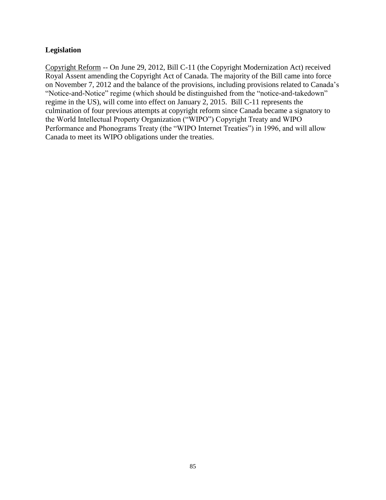#### **Legislation**

Copyright Reform -- On June 29, 2012, Bill C-11 (the Copyright Modernization Act) received Royal Assent amending the Copyright Act of Canada. The majority of the Bill came into force on November 7, 2012 and the balance of the provisions, including provisions related to Canada's "Notice-and-Notice" regime (which should be distinguished from the "notice-and-takedown" regime in the US), will come into effect on January 2, 2015. Bill C-11 represents the culmination of four previous attempts at copyright reform since Canada became a signatory to the World Intellectual Property Organization ("WIPO") Copyright Treaty and WIPO Performance and Phonograms Treaty (the "WIPO Internet Treaties") in 1996, and will allow Canada to meet its WIPO obligations under the treaties.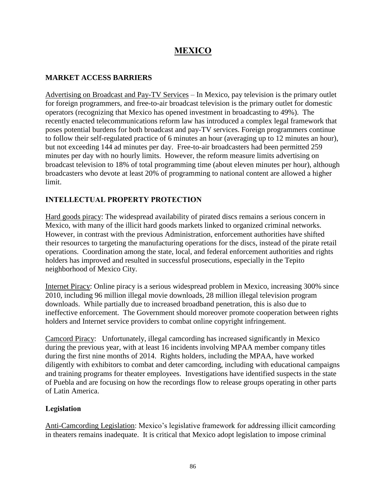# **MEXICO**

#### **MARKET ACCESS BARRIERS**

Advertising on Broadcast and Pay-TV Services – In Mexico, pay television is the primary outlet for foreign programmers, and free-to-air broadcast television is the primary outlet for domestic operators (recognizing that Mexico has opened investment in broadcasting to 49%). The recently enacted telecommunications reform law has introduced a complex legal framework that poses potential burdens for both broadcast and pay-TV services. Foreign programmers continue to follow their self-regulated practice of 6 minutes an hour (averaging up to 12 minutes an hour), but not exceeding 144 ad minutes per day. Free-to-air broadcasters had been permitted 259 minutes per day with no hourly limits. However, the reform measure limits advertising on broadcast television to 18% of total programming time (about eleven minutes per hour), although broadcasters who devote at least 20% of programming to national content are allowed a higher limit.

### **INTELLECTUAL PROPERTY PROTECTION**

Hard goods piracy: The widespread availability of pirated discs remains a serious concern in Mexico, with many of the illicit hard goods markets linked to organized criminal networks. However, in contrast with the previous Administration, enforcement authorities have shifted their resources to targeting the manufacturing operations for the discs, instead of the pirate retail operations. Coordination among the state, local, and federal enforcement authorities and rights holders has improved and resulted in successful prosecutions, especially in the Tepito neighborhood of Mexico City.

Internet Piracy: Online piracy is a serious widespread problem in Mexico, increasing 300% since 2010, including 96 million illegal movie downloads, 28 million illegal television program downloads. While partially due to increased broadband penetration, this is also due to ineffective enforcement. The Government should moreover promote cooperation between rights holders and Internet service providers to combat online copyright infringement.

Camcord Piracy: Unfortunately, illegal camcording has increased significantly in Mexico during the previous year, with at least 16 incidents involving MPAA member company titles during the first nine months of 2014. Rights holders, including the MPAA, have worked diligently with exhibitors to combat and deter camcording, including with educational campaigns and training programs for theater employees. Investigations have identified suspects in the state of Puebla and are focusing on how the recordings flow to release groups operating in other parts of Latin America.

#### **Legislation**

Anti-Camcording Legislation: Mexico's legislative framework for addressing illicit camcording in theaters remains inadequate. It is critical that Mexico adopt legislation to impose criminal